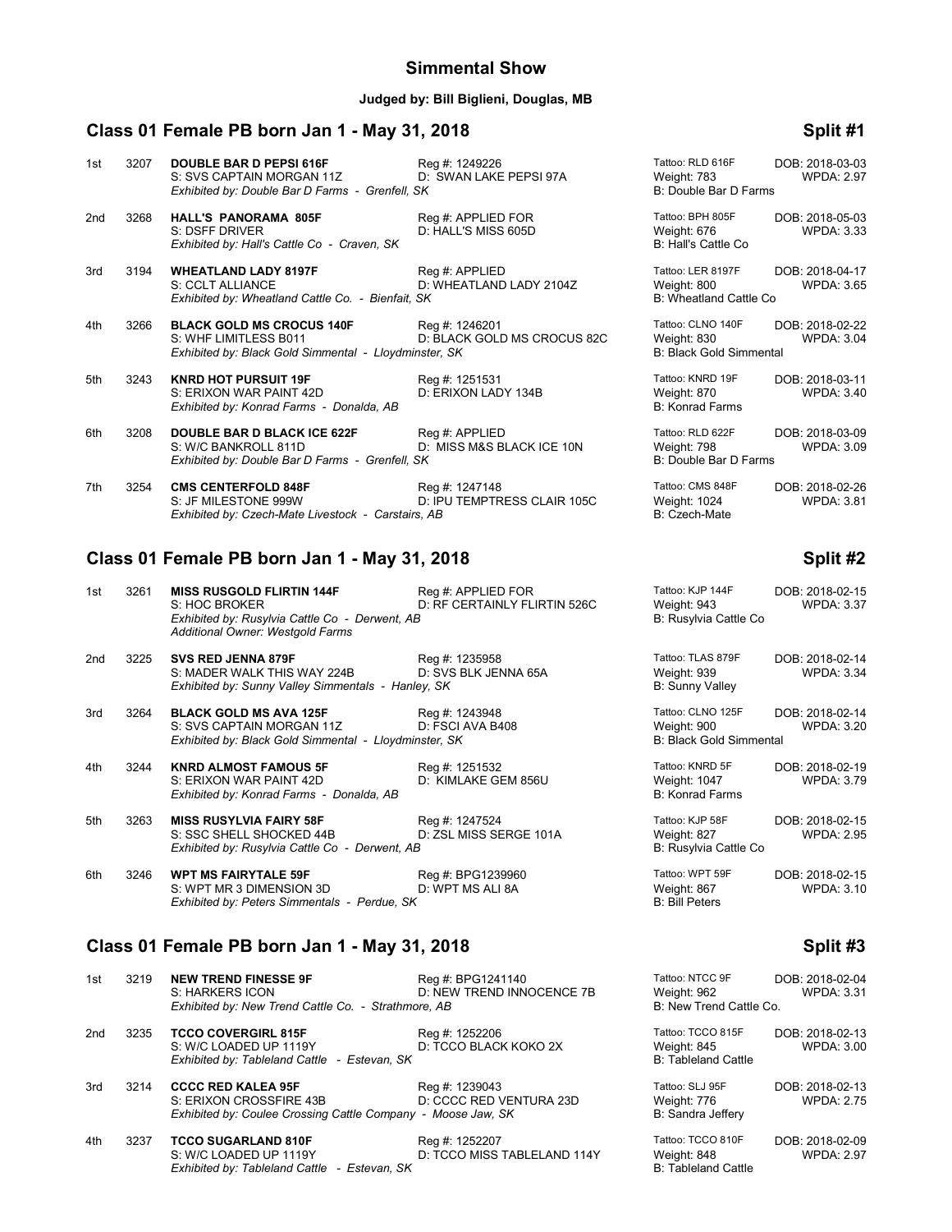#### **Judged by: Bill Biglieni, Douglas, MB**

# **Class 01 Female PB born Jan 1 - May 31, 2018 Split #1**

| 1st | 3207 | <b>DOUBLE BAR D PEPSI 616F</b><br>S: SVS CAPTAIN MORGAN 11Z<br>Exhibited by: Double Bar D Farms - Grenfell, SK     | Reg #: 1249226<br>D: SWAN LAKE PEPSI 97A      | Tattoo: RLD 616F<br>Weight: 783<br>B: Double Bar D Farms           | DOB: 2018-03-03<br><b>WPDA: 2.97</b> |
|-----|------|--------------------------------------------------------------------------------------------------------------------|-----------------------------------------------|--------------------------------------------------------------------|--------------------------------------|
| 2nd | 3268 | <b>HALL'S PANORAMA 805F</b><br>S: DSFF DRIVER<br>Exhibited by: Hall's Cattle Co - Craven, SK                       | Reg #: APPLIED FOR<br>D: HALL'S MISS 605D     | Tattoo: BPH 805F<br>Weight: 676<br>B: Hall's Cattle Co             | DOB: 2018-05-03<br><b>WPDA: 3.33</b> |
| 3rd | 3194 | <b>WHEATLAND LADY 8197F</b><br>S: CCLT ALLIANCE<br>Exhibited by: Wheatland Cattle Co. - Bienfait, SK               | Req #: APPLIED<br>D: WHEATLAND LADY 2104Z     | Tattoo: LER 8197F<br>Weight: 800<br>B: Wheatland Cattle Co         | DOB: 2018-04-17<br><b>WPDA: 3.65</b> |
| 4th | 3266 | <b>BLACK GOLD MS CROCUS 140F</b><br>S: WHF LIMITLESS B011<br>Exhibited by: Black Gold Simmental - Lloydminster, SK | Reg #: 1246201<br>D: BLACK GOLD MS CROCUS 82C | Tattoo: CLNO 140F<br>Weight: 830<br><b>B: Black Gold Simmental</b> | DOB: 2018-02-22<br><b>WPDA: 3.04</b> |
| 5th | 3243 | <b>KNRD HOT PURSUIT 19F</b><br>S: ERIXON WAR PAINT 42D<br>Exhibited by: Konrad Farms - Donalda, AB                 | Reg #: 1251531<br>D: ERIXON LADY 134B         | Tattoo: KNRD 19F<br>Weight: 870<br><b>B: Konrad Farms</b>          | DOB: 2018-03-11<br><b>WPDA: 3.40</b> |
| 6th | 3208 | <b>DOUBLE BAR D BLACK ICE 622F</b><br>S: W/C BANKROLL 811D<br>Exhibited by: Double Bar D Farms - Grenfell, SK      | Reg #: APPLIED<br>D: MISS M&S BLACK ICE 10N   | Tattoo: RLD 622F<br>Weight: 798<br>B: Double Bar D Farms           | DOB: 2018-03-09<br><b>WPDA: 3.09</b> |
| 7th | 3254 | <b>CMS CENTERFOLD 848F</b><br>S: JF MILESTONE 999W<br>Exhibited by: Czech-Mate Livestock - Carstairs, AB           | Reg #: 1247148<br>D: IPU TEMPTRESS CLAIR 105C | Tattoo: CMS 848F<br>Weight: 1024<br>B: Czech-Mate                  | DOB: 2018-02-26<br><b>WPDA: 3.81</b> |

#### **Class 01 Female PB born Jan 1 - May 31, 2018 Split #2**

| 1st | 3261 | <b>MISS RUSGOLD FLIRTIN 144F</b><br>S: HOC BROKER<br>Exhibited by: Rusylvia Cattle Co - Derwent, AB<br>Additional Owner: Westgold Farms | Reg #: APPLIED FOR<br>D: RF CERTAINLY FLIRTIN 526C | Tattoo: KJP 144F<br>Weight: 943<br>B: Rusylvia Cattle Co           | DOB: 2018-02-15<br><b>WPDA: 3.37</b> |
|-----|------|-----------------------------------------------------------------------------------------------------------------------------------------|----------------------------------------------------|--------------------------------------------------------------------|--------------------------------------|
| 2nd | 3225 | <b>SVS RED JENNA 879F</b><br>S: MADER WALK THIS WAY 224B<br>Exhibited by: Sunny Valley Simmentals - Hanley, SK                          | Reg #: 1235958<br>D: SVS BLK JENNA 65A             | Tattoo: TLAS 879F<br>Weight: 939<br><b>B: Sunny Valley</b>         | DOB: 2018-02-14<br><b>WPDA: 3.34</b> |
| 3rd | 3264 | <b>BLACK GOLD MS AVA 125F</b><br>S: SVS CAPTAIN MORGAN 11Z<br>Exhibited by: Black Gold Simmental - Lloydminster, SK                     | Reg #: 1243948<br>D: FSCI AVA B408                 | Tattoo: CLNO 125F<br>Weight: 900<br><b>B: Black Gold Simmental</b> | DOB: 2018-02-14<br><b>WPDA: 3.20</b> |
| 4th | 3244 | <b>KNRD ALMOST FAMOUS 5F</b><br>S: ERIXON WAR PAINT 42D<br>Exhibited by: Konrad Farms - Donalda, AB                                     | Reg #: 1251532<br>D: KIMLAKE GEM 856U              | Tattoo: KNRD 5F<br>Weight: 1047<br><b>B: Konrad Farms</b>          | DOB: 2018-02-19<br><b>WPDA: 3.79</b> |
| 5th | 3263 | <b>MISS RUSYLVIA FAIRY 58F</b><br>S: SSC SHELL SHOCKED 44B<br>Exhibited by: Rusylvia Cattle Co - Derwent, AB                            | Reg #: 1247524<br>D: ZSL MISS SERGE 101A           | Tattoo: KJP 58F<br>Weight: 827<br>B: Rusylvia Cattle Co            | DOB: 2018-02-15<br><b>WPDA: 2.95</b> |
| 6th | 3246 | <b>WPT MS FAIRYTALE 59F</b><br>S: WPT MR 3 DIMENSION 3D<br>Exhibited by: Peters Simmentals - Perdue, SK                                 | Reg #: BPG1239960<br>D: WPT MS ALI 8A              | Tattoo: WPT 59F<br>Weight: 867<br><b>B: Bill Peters</b>            | DOB: 2018-02-15<br><b>WPDA: 3.10</b> |

# **Class 01 Female PB born Jan 1 - May 31, 2018 Split #3**

| 1st | 3219 | <b>NEW TREND FINESSE 9F</b><br>S: HARKERS ICON                                                                       | Reg #: BPG1241140<br>D: NEW TREND INNOCENCE 7B | Tattoo: NTCC 9F<br>Weight: 962                                 | DOB: 2018-02-04<br><b>WPDA: 3.31</b> |
|-----|------|----------------------------------------------------------------------------------------------------------------------|------------------------------------------------|----------------------------------------------------------------|--------------------------------------|
|     |      | Exhibited by: New Trend Cattle Co. - Strathmore, AB                                                                  |                                                | B: New Trend Cattle Co.                                        |                                      |
| 2nd | 3235 | <b>TCCO COVERGIRL 815F</b><br>S: W/C LOADED UP 1119Y<br>Exhibited by: Tableland Cattle - Estevan, SK                 | Reg #: 1252206<br>D: TCCO BLACK KOKO 2X        | Tattoo: TCCO 815F<br>Weight: 845<br><b>B: Tableland Cattle</b> | DOB: 2018-02-13<br>WPDA: 3.00        |
| 3rd | 3214 | <b>CCCC RED KALEA 95F</b><br>S: ERIXON CROSSFIRE 43B<br>Exhibited by: Coulee Crossing Cattle Company - Moose Jaw, SK | Reg #: 1239043<br>D: CCCC RED VENTURA 23D      | Tattoo: SLJ 95F<br>Weight: 776<br>B: Sandra Jeffery            | DOB: 2018-02-13<br><b>WPDA: 2.75</b> |
| 4th | 3237 | <b>TCCO SUGARLAND 810F</b><br>S: W/C LOADED UP 1119Y<br>Exhibited by: Tableland Cattle - Estevan, SK                 | Reg #: 1252207<br>D: TCCO MISS TABLELAND 114Y  | Tattoo: TCCO 810F<br>Weight: 848<br><b>B: Tableland Cattle</b> | DOB: 2018-02-09<br><b>WPDA: 2.97</b> |

| ht: 1024<br>ech-Mate:                        | <b>WPDA: 3.8</b>                   |
|----------------------------------------------|------------------------------------|
|                                              | Split #                            |
| : KJP 144F<br>ht: 943<br>isylvia Cattle Co   | DOB: 2018-02-1<br><b>WPDA: 3.3</b> |
| : TLAS 879F<br>ht: 939<br><b>nny Valley</b>  | DOB: 2018-02-1<br><b>WPDA: 3.3</b> |
| : CLNO 125F<br>ht: 900<br>ack Gold Simmental | DOB: 2018-02-1<br><b>WPDA: 3.2</b> |
| : KNRD 5F<br>ht: 1047<br>nrad Farms          | DOB: 2018-02-1<br><b>WPDA: 3.7</b> |
| : KJP 58F                                    | DOB: 2018-02-1                     |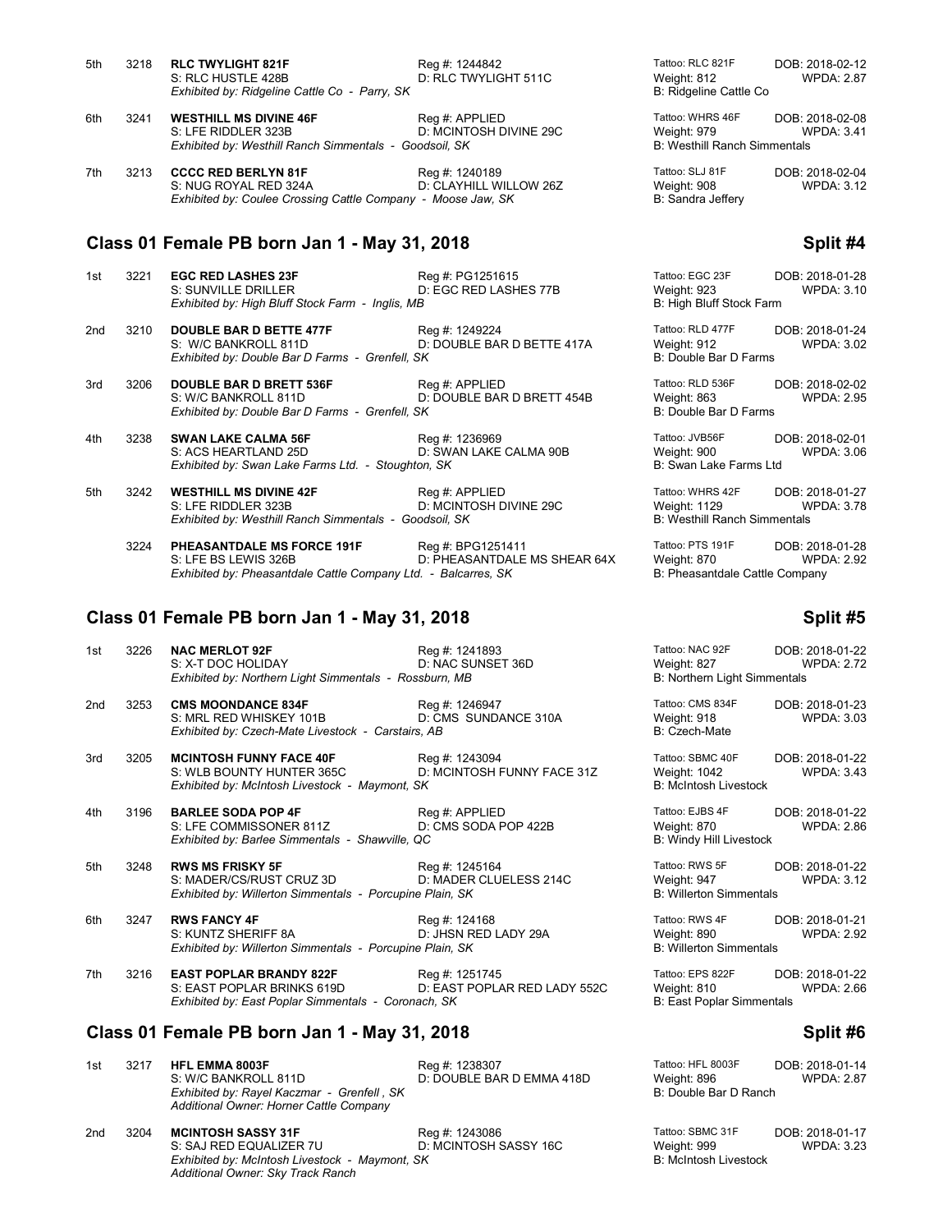| 5th | 3218 | <b>RLC TWYLIGHT 821F</b>                               | Reg #: 1244842         | Tattoo: RLC 821F                    | DOB: 2018-02-12     |
|-----|------|--------------------------------------------------------|------------------------|-------------------------------------|---------------------|
|     |      | S: RLC HUSTLE 428B                                     | D: RLC TWYLIGHT 511C   | Weight: 812                         | <b>WPDA: 2.87</b>   |
|     |      | Exhibited by: Ridgeline Cattle Co - Parry, SK          |                        | B: Ridgeline Cattle Co              |                     |
| 6th | 3241 | <b>WESTHILL MS DIVINE 46F</b>                          | Reg #: APPLIED         | Tattoo: WHRS 46F                    | DOB: 2018-02-08     |
|     |      | S: LFE RIDDLER 323B                                    | D: MCINTOSH DIVINE 29C | Weight: 979                         | <b>WPDA: 3.41</b>   |
|     |      | Exhibited by: Westhill Ranch Simmentals - Goodsoil, SK |                        | <b>B: Westhill Ranch Simmentals</b> |                     |
| 7+h | 2212 | CCCC DED DEDI VN 94E                                   | $D_{00} + 1240100$     | $Taffon: SI$ $R1F$                  | $DCD \cdot 2019020$ |

7th 3213 **CCCC RED BERLYN 81F** Reg #: 1240189 Reg #: 1240189 Tattoo: SLJ 81F DOB: 2018-02-04<br>S: NUG ROYAL RED 324A D: CLAYHILL WILLOW 26Z Weight: 908 WPDA: 3.12 D: CLAYHILL WILLOW 26Z Weight: 908<br>Andrew SK B: Sandra Jeffery Web B: 3.1244 *Exhibited by: Coulee Crossing Cattle Company - Moose Jaw, SK* 

## **Class 01 Female PB born Jan 1 - May 31, 2018 Split #4**

| 1st | 3221 | <b>EGC RED LASHES 23F</b>                          | Reg #: PG1251615           | Tattoo: EGC 23F          | DOB: 2018-01-28   |
|-----|------|----------------------------------------------------|----------------------------|--------------------------|-------------------|
|     |      | S: SUNVILLE DRILLER                                | D: EGC RED LASHES 77B      | Weight: 923              | <b>WPDA: 3.10</b> |
|     |      | Exhibited by: High Bluff Stock Farm - Inglis, MB   |                            | B: High Bluff Stock Farm |                   |
| 2nd | 3210 | <b>DOUBLE BAR D BETTE 477F</b>                     | Reg #: 1249224             | Tattoo: RLD 477F         | DOB: 2018-01-24   |
|     |      | S: W/C BANKROLL 811D                               | D: DOUBLE BAR D BETTE 417A | Weight: 912              | <b>WPDA: 3.02</b> |
|     |      | Exhibited by: Double Bar D Farms - Grenfell, SK    |                            | B: Double Bar D Farms    |                   |
| 3rd | 3206 | <b>DOUBLE BAR D BRETT 536F</b>                     | Reg #: APPLIED             | Tattoo: RLD 536F         | DOB: 2018-02-02   |
|     |      | S: W/C BANKROLL 811D                               | D: DOUBLE BAR D BRETT 454B | Weight: 863              | <b>WPDA: 2.95</b> |
|     |      | Exhibited by: Double Bar D Farms - Grenfell, SK    |                            | B: Double Bar D Farms    |                   |
| 4th | 3238 | <b>SWAN LAKE CALMA 56F</b>                         | Reg #: 1236969             | Tattoo: JVB56F           | DOB: 2018-02-01   |
|     |      | S: ACS HEARTLAND 25D                               | D: SWAN LAKE CALMA 90B     | Weight: 900              | <b>WPDA: 3.06</b> |
|     |      | Exhibited by: Swan Lake Farms Ltd. - Stoughton, SK |                            | B: Swan Lake Farms Ltd   |                   |
|     |      |                                                    |                            |                          |                   |

5th 3242 **WESTHILL MS DIVINE 42F** Reg #: APPLIED Read Tattoo: WHRS 42F DOB: 2018-01-27<br>5th 3242 S: LFE RIDDLER 323B D: MCINTOSH DIVINE 29C Weight: 1129 WPDA: 3.78 D: MCINTOSH DIVINE 29C<br>
D: MCINTOSH DIVINE 29C<br>
B: Westhill Ranch Simmentals **Exhibited by: Westhill Ranch Simmentals - Goodsoil, SK** 

3224 **PHEASANTDALE MS FORCE 191F** Reg #: BPG1251411 Tattoo: PTS 191F DOB: 2018-01-28<br>D: PHEASANTDALE MS SHEAR 64X Weight: 870 WPDA: 2.92 D: PHEASANTDALE MS SHEAR 64X Weight: 870 WPD<br>d. - Balcarres, SK B: Pheasantdale Cattle Company *Exhibited by: Pheasantdale Cattle Company Ltd. - Balcarres, SK* 

### **Class 01 Female PB born Jan 1 - May 31, 2018 Split #5**

| 1st             | 3226 | <b>NAC MERLOT 92F</b><br>S: X-T DOC HOLIDAY<br>Exhibited by: Northern Light Simmentals - Rossburn, MB               | Reg #: 1241893<br>D: NAC SUNSET 36D            | Tattoo: NAC 92F<br>Weight: 827<br>B: Northern Light Simmentals      | DOB: 2018-01-22<br><b>WPDA: 2.72</b> |
|-----------------|------|---------------------------------------------------------------------------------------------------------------------|------------------------------------------------|---------------------------------------------------------------------|--------------------------------------|
| 2 <sub>nd</sub> | 3253 | <b>CMS MOONDANCE 834F</b><br>S: MRL RED WHISKEY 101B<br>Exhibited by: Czech-Mate Livestock - Carstairs, AB          | Reg #: 1246947<br>D: CMS SUNDANCE 310A         | Tattoo: CMS 834F<br>Weight: 918<br>B: Czech-Mate                    | DOB: 2018-01-23<br><b>WPDA: 3.03</b> |
| 3rd             | 3205 | <b>MCINTOSH FUNNY FACE 40F</b><br>S: WLB BOUNTY HUNTER 365C<br>Exhibited by: McIntosh Livestock - Maymont, SK       | Reg #: 1243094<br>D: MCINTOSH FUNNY FACE 31Z   | Tattoo: SBMC 40F<br>Weight: 1042<br><b>B: McIntosh Livestock</b>    | DOB: 2018-01-22<br><b>WPDA: 3.43</b> |
| 4th             | 3196 | <b>BARLEE SODA POP 4F</b><br>S: LFE COMMISSONER 811Z<br>Exhibited by: Barlee Simmentals - Shawville, QC             | Reg #: APPLIED<br>D: CMS SODA POP 422B         | Tattoo: EJBS 4F<br>Weight: 870<br><b>B: Windy Hill Livestock</b>    | DOB: 2018-01-22<br><b>WPDA: 2.86</b> |
| 5th             | 3248 | <b>RWS MS FRISKY 5F</b><br>S: MADER/CS/RUST CRUZ 3D<br>Exhibited by: Willerton Simmentals - Porcupine Plain, SK     | Reg #: 1245164<br>D: MADER CLUELESS 214C       | Tattoo: RWS 5F<br>Weight: 947<br><b>B: Willerton Simmentals</b>     | DOB: 2018-01-22<br><b>WPDA: 3.12</b> |
| 6th             | 3247 | <b>RWS FANCY 4F</b><br>S: KUNTZ SHERIFF 8A<br>Exhibited by: Willerton Simmentals - Porcupine Plain, SK              | Reg #: 124168<br>D: JHSN RED LADY 29A          | Tattoo: RWS 4F<br>Weight: 890<br><b>B: Willerton Simmentals</b>     | DOB: 2018-01-21<br><b>WPDA: 2.92</b> |
| 7th             | 3216 | <b>EAST POPLAR BRANDY 822F</b><br>S: EAST POPLAR BRINKS 619D<br>Exhibited by: East Poplar Simmentals - Coronach, SK | Reg #: 1251745<br>D: EAST POPLAR RED LADY 552C | Tattoo: EPS 822F<br>Weight: 810<br><b>B: East Poplar Simmentals</b> | DOB: 2018-01-22<br><b>WPDA: 2.66</b> |
|                 |      | Class 01 Female PB born Jan 1 - May 31, 2018                                                                        |                                                |                                                                     | Split #6                             |
| 1st             | 3217 | <b>HFL EMMA 8003F</b><br>S: W/C BANKROLL 811D<br>Exhibited by: Rayel Kaczmar - Grenfell, SK                         | Reg #: 1238307<br>D: DOUBLE BAR D EMMA 418D    | Tattoo: HFL 8003F<br>Weight: 896<br>B: Double Bar D Ranch           | DOB: 2018-01-14<br><b>WPDA: 2.87</b> |

| 2nd | 3204 | MCINTOSH SASSY 31F                             | Rea #: 1243086        | Tattoo: SBMC 31F      | DOB: 2018-01-17   |
|-----|------|------------------------------------------------|-----------------------|-----------------------|-------------------|
|     |      | S: SAJ RED EQUALIZER 7U                        | D: MCINTOSH SASSY 16C | Weight: 999           | <b>WPDA: 3.23</b> |
|     |      | Exhibited by: McIntosh Livestock - Maymont, SK |                       | B: McIntosh Livestock |                   |
|     |      | Additional Owner: Sky Track Ranch              |                       |                       |                   |

*Additional Owner: Horner Cattle Company*

| attoo: RLC 821F       | DOB: 2018-02-12   |
|-----------------------|-------------------|
| Veight: 812           | <b>WPDA: 2.87</b> |
| ∷ Ridgeline Cattle Co |                   |

| Tattoo: EGC 23F<br>Weight: 923<br>B: High Bluff Stock Farm | DOB: 2018-01-28<br><b>WPDA: 3.10</b> |
|------------------------------------------------------------|--------------------------------------|
| Tattoo: RLD 477F<br>Weight: 912<br>B: Double Bar D Farms   | DOB: 2018-01-24<br><b>WPDA: 3.02</b> |
| Tattoo: RLD 536F<br>Weight: 863<br>B: Double Bar D Farms   | DOB: 2018-02-02<br><b>WPDA: 2.95</b> |
| Tattoo: JVB56F<br>Weight: 900<br>B: Swan Lake Farms Ltd    | DOB: 2018-02-01<br>WPDA: 3.06        |
| Tattoo: WHRS 42F                                           | DOR: 2018 01 27                      |

|                                                     | Split #6                    |
|-----------------------------------------------------|-----------------------------|
| <b>PS 822F</b><br>: 810<br><b>Poplar Simmentals</b> | DOB: 2018-01-22<br>WPDA:266 |
| 890<br>rton Simmentals                              | WPDA: 2.92                  |

| Tattoo: HFL 8003F     | DOB: 2018-01-14   |
|-----------------------|-------------------|
| Weight: 896           | <b>WPDA: 2.87</b> |
| B: Double Bar D Ranch |                   |
|                       |                   |

| attoo: SBMC 31F      | DOB: 2018-01-17   |
|----------------------|-------------------|
| Veight: 999          | <b>WPDA: 3.23</b> |
| : McIntosh Livestock |                   |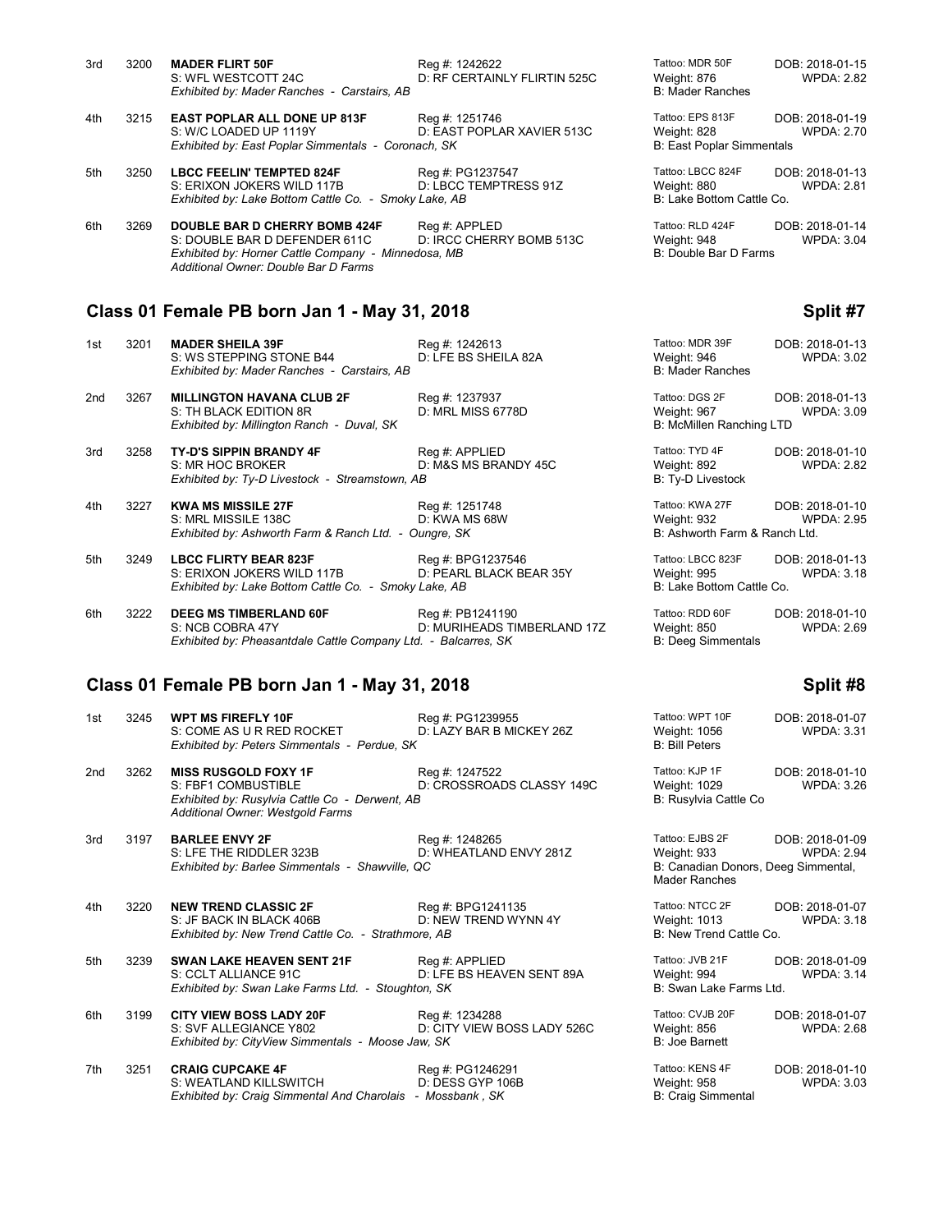| 3rd | 3200 | <b>MADER FLIRT 50F</b><br>S: WFL WESTCOTT 24C<br>Exhibited by: Mader Ranches - Carstairs, AB                                                                         | Reg #: 1242622<br>D: RF CERTAINLY FLIRTIN 525C | Tattoo: MDR 50F<br>Weight: 876<br><b>B: Mader Ranches</b>           | DOB: 2018-01-15<br><b>WPDA: 2.82</b> |
|-----|------|----------------------------------------------------------------------------------------------------------------------------------------------------------------------|------------------------------------------------|---------------------------------------------------------------------|--------------------------------------|
| 4th | 3215 | <b>EAST POPLAR ALL DONE UP 813F</b><br>S: W/C LOADED UP 1119Y<br>Exhibited by: East Poplar Simmentals - Coronach, SK                                                 | Reg #: 1251746<br>D: EAST POPLAR XAVIER 513C   | Tattoo: EPS 813F<br>Weight: 828<br><b>B: East Poplar Simmentals</b> | DOB: 2018-01-19<br><b>WPDA: 2.70</b> |
| 5th | 3250 | <b>LBCC FEELIN' TEMPTED 824F</b><br>S: ERIXON JOKERS WILD 117B<br>Exhibited by: Lake Bottom Cattle Co. - Smoky Lake, AB                                              | Reg #: PG1237547<br>D: LBCC TEMPTRESS 91Z      | Tattoo: LBCC 824F<br>Weight: 880<br>B: Lake Bottom Cattle Co.       | DOB: 2018-01-13<br><b>WPDA: 2.81</b> |
| 6th | 3269 | <b>DOUBLE BAR D CHERRY BOMB 424F</b><br>S: DOUBLE BAR D DEFENDER 611C<br>Exhibited by: Horner Cattle Company - Minnedosa, MB<br>Additional Owner: Double Bar D Farms | Reg #: APPLED<br>D: IRCC CHERRY BOMB 513C      | Tattoo: RLD 424F<br>Weight: 948<br>B: Double Bar D Farms            | DOB: 2018-01-14<br><b>WPDA: 3.04</b> |

# **Class 01 Female PB born Jan 1 - May 31, 2018 Split #7**

| 1st | 3201 | <b>MADER SHEILA 39F</b><br>S: WS STEPPING STONE B44<br>Exhibited by: Mader Ranches - Carstairs, AB                  | Reg #: 1242613<br>D: LFE BS SHEILA 82A          | Tattoo: MDR 39F<br>Weight: 946<br><b>B: Mader Ranches</b>       | DOB: 2018-01-13<br><b>WPDA: 3.02</b> |
|-----|------|---------------------------------------------------------------------------------------------------------------------|-------------------------------------------------|-----------------------------------------------------------------|--------------------------------------|
| 2nd | 3267 | <b>MILLINGTON HAVANA CLUB 2F</b><br>S: TH BLACK EDITION 8R<br>Exhibited by: Millington Ranch - Duval, SK            | Reg #: 1237937<br>D: MRL MISS 6778D             | Tattoo: DGS 2F<br>Weight: 967<br>B: McMillen Ranching LTD       | DOB: 2018-01-13<br>WPDA: 3.09        |
| 3rd | 3258 | <b>TY-D'S SIPPIN BRANDY 4F</b><br>S: MR HOC BROKER<br>Exhibited by: Ty-D Livestock - Streamstown, AB                | Reg #: APPLIED<br>D: M&S MS BRANDY 45C          | Tattoo: TYD 4F<br>Weight: 892<br>B: Ty-D Livestock              | DOB: 2018-01-10<br><b>WPDA: 2.82</b> |
| 4th | 3227 | <b>KWA MS MISSILE 27F</b><br>S: MRL MISSILE 138C<br>Exhibited by: Ashworth Farm & Ranch Ltd. - Oungre, SK           | Reg #: 1251748<br>D: KWA MS 68W                 | Tattoo: KWA 27F<br>Weight: 932<br>B: Ashworth Farm & Ranch Ltd. | DOB: 2018-01-10<br><b>WPDA: 2.95</b> |
| 5th | 3249 | <b>LBCC FLIRTY BEAR 823F</b><br>S: ERIXON JOKERS WILD 117B<br>Exhibited by: Lake Bottom Cattle Co. - Smoky Lake, AB | Reg #: BPG1237546<br>D: PEARL BLACK BEAR 35Y    | Tattoo: LBCC 823F<br>Weight: 995<br>B: Lake Bottom Cattle Co.   | DOB: 2018-01-13<br><b>WPDA: 3.18</b> |
| 6th | 3222 | <b>DEEG MS TIMBERLAND 60F</b><br>S: NCB COBRA 47Y<br>Exhibited by: Pheasantdale Cattle Company Ltd. - Balcarres, SK | Reg #: PB1241190<br>D: MURIHEADS TIMBERLAND 17Z | Tattoo: RDD 60F<br>Weight: 850<br><b>B: Deeg Simmentals</b>     | DOB: 2018-01-10<br>WPDA: 2.69        |

## **Class 01 Female PB born Jan 1 - May 31, 2018 Split #8**

**Exhibited by: Pheasantdale Cattle Company Ltd. - Balcarres, SK:** 

| 1st             | 3245 | <b>WPT MS FIREFLY 10F</b><br>S: COME AS U R RED ROCKET<br>Exhibited by: Peters Simmentals - Perdue, SK                                   | Reg #: PG1239955<br>D: LAZY BAR B MICKEY 26Z  | Tattoo: WPT 10F<br>Weight: 1056<br><b>B: Bill Peters</b>                                      | DOB: 2018-01-07<br><b>WPDA: 3.31</b> |
|-----------------|------|------------------------------------------------------------------------------------------------------------------------------------------|-----------------------------------------------|-----------------------------------------------------------------------------------------------|--------------------------------------|
| 2 <sub>nd</sub> | 3262 | <b>MISS RUSGOLD FOXY 1F</b><br>S: FBF1 COMBUSTIBLE<br>Exhibited by: Rusylvia Cattle Co - Derwent, AB<br>Additional Owner: Westgold Farms | Reg #: 1247522<br>D: CROSSROADS CLASSY 149C   | Tattoo: KJP 1F<br>Weight: 1029<br>B: Rusylvia Cattle Co                                       | DOB: 2018-01-10<br><b>WPDA: 3.26</b> |
| 3rd             | 3197 | <b>BARLEE ENVY 2F</b><br>S: LFE THE RIDDLER 323B<br>Exhibited by: Barlee Simmentals - Shawville, QC                                      | Reg #: 1248265<br>D: WHEATLAND ENVY 281Z      | Tattoo: EJBS 2F<br><b>Weight: 933</b><br>B: Canadian Donors, Deeg Simmental,<br>Mader Ranches | DOB: 2018-01-09<br><b>WPDA: 2.94</b> |
| 4th             | 3220 | <b>NEW TREND CLASSIC 2F</b><br>S: JF BACK IN BLACK 406B<br>Exhibited by: New Trend Cattle Co. - Strathmore, AB                           | Reg #: BPG1241135<br>D: NEW TREND WYNN 4Y     | Tattoo: NTCC 2F<br>Weight: 1013<br>B: New Trend Cattle Co.                                    | DOB: 2018-01-07<br><b>WPDA: 3.18</b> |
| 5th             | 3239 | <b>SWAN LAKE HEAVEN SENT 21F</b><br>S: CCLT ALLIANCE 91C<br>Exhibited by: Swan Lake Farms Ltd. - Stoughton, SK                           | Reg #: APPLIED<br>D: LFE BS HEAVEN SENT 89A   | Tattoo: JVB 21F<br>Weight: 994<br>B: Swan Lake Farms Ltd.                                     | DOB: 2018-01-09<br><b>WPDA: 3.14</b> |
| 6th             | 3199 | <b>CITY VIEW BOSS LADY 20F</b><br>S: SVF ALLEGIANCE Y802<br>Exhibited by: CityView Simmentals - Moose Jaw, SK                            | Reg #: 1234288<br>D: CITY VIEW BOSS LADY 526C | Tattoo: CVJB 20F<br>Weight: 856<br>B: Joe Barnett                                             | DOB: 2018-01-07<br><b>WPDA: 2.68</b> |
| 7th             | 3251 | <b>CRAIG CUPCAKE 4F</b><br>S: WEATLAND KILLSWITCH<br>Exhibited by: Craig Simmental And Charolais - Mossbank, SK                          | Reg #: PG1246291<br>D: DESS GYP 106B          | Tattoo: KENS 4F<br><b>Weight: 958</b><br><b>B: Craig Simmental</b>                            | DOB: 2018-01-10<br><b>WPDA: 3.03</b> |

| Tattoo: WPT 10F<br>Weight: 1056<br><b>B: Bill Peters</b>                               | DOB: 2018-01-07<br>WPDA: 3.3         |
|----------------------------------------------------------------------------------------|--------------------------------------|
| Tattoo: KJP 1F<br>Weight: 1029<br>B: Rusylvia Cattle Co                                | DOB: 2018-01-10<br><b>WPDA: 3.26</b> |
| Tattoo: EJBS 2F<br>Weight: 933<br>B: Canadian Donors, Deeg Simmental,<br>Mader Ranches | DOB: 2018-01-09<br><b>WPDA: 2.94</b> |
| Tattoo: NTCC 2F<br>Weight: 1013<br>B: New Trend Cattle Co.                             | DOB: 2018-01-07<br><b>WPDA: 3.18</b> |
| Tattoo: JVB 21F<br>Weight: 994<br>B: Swan Lake Farms Ltd.                              | DOB: 2018-01-09<br>WPDA: 3.14        |
| Tattoo: CVJB 20F<br>Weight: 856<br><b>B: Joe Barnett</b>                               | DOB: 2018-01-07<br><b>WPDA: 2.68</b> |
| Tattoo: KENS 4F<br>Weight: 958<br><b>B: Craig Simmental</b>                            | DOB: 2018-01-10<br><b>WPDA: 3.03</b> |

| Tattoo: MDR 39F<br>Weight: 946<br><b>B: Mader Ranches</b>       | DOB: 2018-01-13<br><b>WPDA: 3.02</b> |
|-----------------------------------------------------------------|--------------------------------------|
| Tattoo: DGS 2F<br>Weight: 967<br>B: McMillen Ranching LTD       | DOB: 2018-01-13<br><b>WPDA: 3.09</b> |
| Tattoo: TYD 4F<br>Weight: 892<br><b>B: Ty-D Livestock</b>       | DOB: 2018-01-10<br><b>WPDA: 2.82</b> |
| Tattoo: KWA 27F<br>Weight: 932<br>B: Ashworth Farm & Ranch Ltd. | DOB: 2018-01-10<br><b>WPDA: 2.95</b> |
| Tattoo: LBCC 823F<br>Weight: 995<br>B: Lake Bottom Cattle Co.   | DOB: 2018-01-13<br><b>WPDA: 3.18</b> |
| Tattoo: RDD 60F                                                 | DOB: 2018-01-10                      |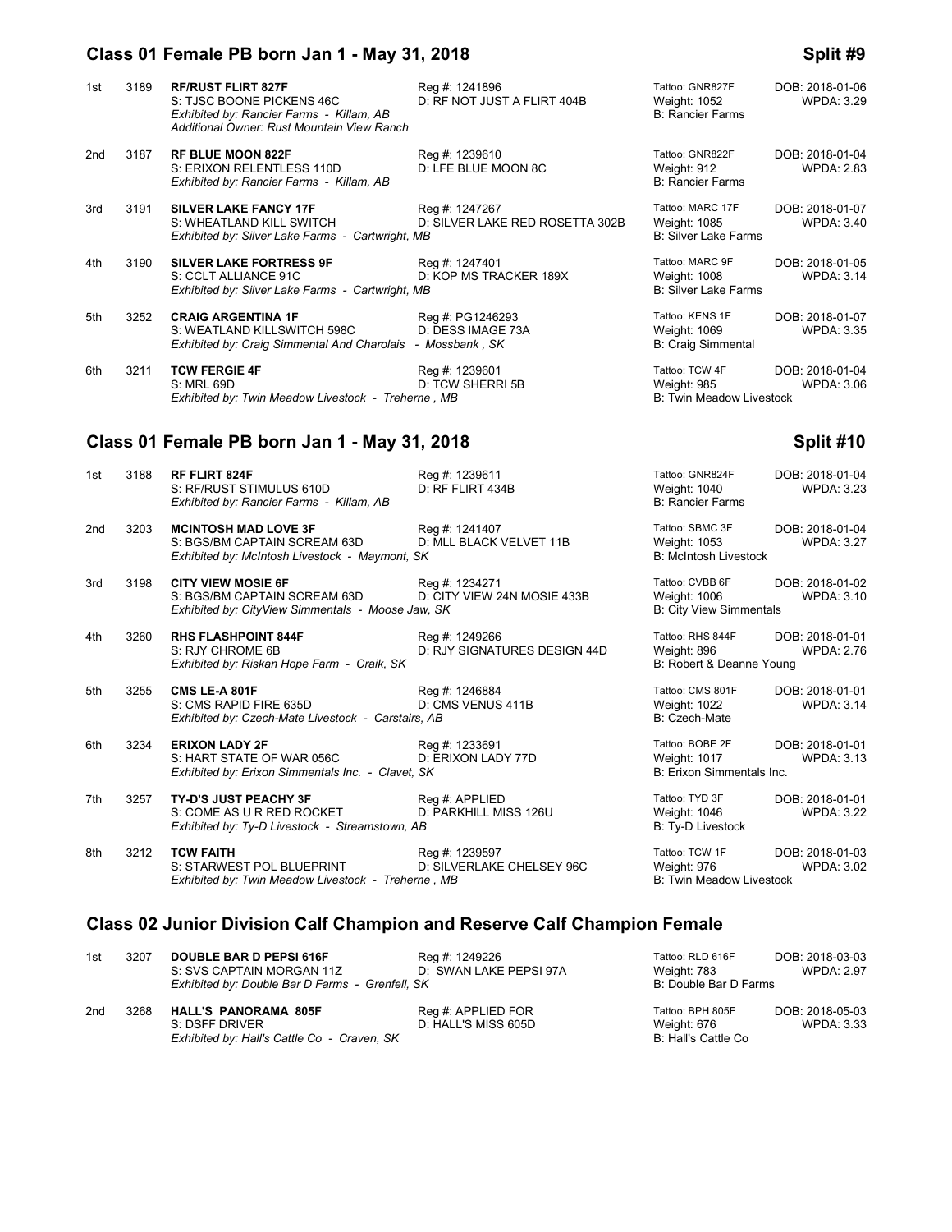# **Class 01 Female PB born Jan 1 - May 31, 2018 Split #9**

| 1st | 3189 | <b>RF/RUST FLIRT 827F</b><br>S: TJSC BOONE PICKENS 46C<br>Exhibited by: Rancier Farms - Killam, AB<br>Additional Owner: Rust Mountain View Ranch | Reg #: 1241896<br>D: RF NOT JUST A FLIRT 404B           | Tattoo: GNR827F<br>Weight: 1052<br><b>B: Rancier Farms</b>       | DOB: 2018-01-06<br><b>WPDA: 3.29</b> |
|-----|------|--------------------------------------------------------------------------------------------------------------------------------------------------|---------------------------------------------------------|------------------------------------------------------------------|--------------------------------------|
| 2nd | 3187 | <b>RF BLUE MOON 822F</b><br>S: ERIXON RELENTLESS 110D<br>Exhibited by: Rancier Farms - Killam, AB                                                | Reg #: 1239610<br>D: LFE BLUE MOON 8C                   | Tattoo: GNR822F<br>Weight: 912<br><b>B: Rancier Farms</b>        | DOB: 2018-01-04<br><b>WPDA: 2.83</b> |
| 3rd | 3191 | <b>SILVER LAKE FANCY 17F</b><br>S: WHEATLAND KILL SWITCH<br>Exhibited by: Silver Lake Farms - Cartwright, MB                                     | Reg #: 1247267<br>D: SILVER LAKE RED ROSETTA 302B       | Tattoo: MARC 17F<br>Weight: 1085<br><b>B: Silver Lake Farms</b>  | DOB: 2018-01-07<br><b>WPDA: 3.40</b> |
| 4th | 3190 | <b>SILVER LAKE FORTRESS 9F</b><br>S: CCLT ALLIANCE 91C<br>Exhibited by: Silver Lake Farms - Cartwright, MB                                       | Reg #: 1247401<br>D: KOP MS TRACKER 189X                | Tattoo: MARC 9F<br>Weight: 1008<br><b>B: Silver Lake Farms</b>   | DOB: 2018-01-05<br><b>WPDA: 3.14</b> |
| 5th | 3252 | <b>CRAIG ARGENTINA 1F</b><br>S: WEATLAND KILLSWITCH 598C<br>Exhibited by: Craig Simmental And Charolais                                          | Reg #: PG1246293<br>D: DESS IMAGE 73A<br>- Mossbank, SK | Tattoo: KENS 1F<br>Weight: 1069<br><b>B: Craig Simmental</b>     | DOB: 2018-01-07<br><b>WPDA: 3.35</b> |
| 6th | 3211 | <b>TCW FERGIE 4F</b><br>S: MRL 69D<br>Exhibited by: Twin Meadow Livestock - Treherne, MB                                                         | Reg #: 1239601<br>D: TCW SHERRI 5B                      | Tattoo: TCW 4F<br>Weight: 985<br><b>B: Twin Meadow Livestock</b> | DOB: 2018-01-04<br><b>WPDA: 3.06</b> |

# **Class 01 Female PB born Jan 1 - May 31, 2018 Split #10**

| 1st             | 3188 | <b>RF FLIRT 824F</b><br>S: RF/RUST STIMULUS 610D<br>Exhibited by: Rancier Farms - Killam, AB                   | Reg #: 1239611<br>D: RF FLIRT 434B             | Tattoo: GNR824F<br>Weight: 1040<br><b>B: Rancier Farms</b>          | DOB: 2018-01-04<br><b>WPDA: 3.23</b> |
|-----------------|------|----------------------------------------------------------------------------------------------------------------|------------------------------------------------|---------------------------------------------------------------------|--------------------------------------|
| 2 <sub>nd</sub> | 3203 | <b>MCINTOSH MAD LOVE 3F</b><br>S: BGS/BM CAPTAIN SCREAM 63D<br>Exhibited by: McIntosh Livestock - Maymont, SK  | Reg #: 1241407<br>D: MLL BLACK VELVET 11B      | Tattoo: SBMC 3F<br>Weight: 1053<br><b>B: McIntosh Livestock</b>     | DOB: 2018-01-04<br><b>WPDA: 3.27</b> |
| 3rd             | 3198 | <b>CITY VIEW MOSIE 6F</b><br>S: BGS/BM CAPTAIN SCREAM 63D<br>Exhibited by: CityView Simmentals - Moose Jaw, SK | Reg #: 1234271<br>D: CITY VIEW 24N MOSIE 433B  | Tattoo: CVBB 6F<br>Weight: 1006<br><b>B: City View Simmentals</b>   | DOB: 2018-01-02<br><b>WPDA: 3.10</b> |
| 4th             | 3260 | <b>RHS FLASHPOINT 844F</b><br>S: RJY CHROME 6B<br>Exhibited by: Riskan Hope Farm - Craik, SK                   | Reg #: 1249266<br>D: RJY SIGNATURES DESIGN 44D | Tattoo: RHS 844F<br>Weight: 896<br>B: Robert & Deanne Young         | DOB: 2018-01-01<br><b>WPDA: 2.76</b> |
| 5th             | 3255 | <b>CMS LE-A 801F</b><br>S: CMS RAPID FIRE 635D<br>Exhibited by: Czech-Mate Livestock - Carstairs, AB           | Reg #: 1246884<br>D: CMS VENUS 411B            | Tattoo: CMS 801F<br>Weight: 1022<br>B: Czech-Mate                   | DOB: 2018-01-01<br><b>WPDA: 3.14</b> |
| 6th             | 3234 | <b>ERIXON LADY 2F</b><br>S: HART STATE OF WAR 056C<br>Exhibited by: Erixon Simmentals Inc. - Clavet, SK        | Reg #: 1233691<br>D: ERIXON LADY 77D           | Tattoo: BOBE 2F<br><b>Weight: 1017</b><br>B: Erixon Simmentals Inc. | DOB: 2018-01-01<br><b>WPDA: 3.13</b> |
| 7th             | 3257 | TY-D'S JUST PEACHY 3F<br>S: COME AS U R RED ROCKET<br>Exhibited by: Ty-D Livestock - Streamstown, AB           | Req #: APPLIED<br>D: PARKHILL MISS 126U        | Tattoo: TYD 3F<br>Weight: 1046<br><b>B: Ty-D Livestock</b>          | DOB: 2018-01-01<br><b>WPDA: 3.22</b> |
| 8th             | 3212 | <b>TCW FAITH</b><br>S: STARWEST POL BLUEPRINT<br>Exhibited by: Twin Meadow Livestock - Treherne, MB            | Reg #: 1239597<br>D: SILVERLAKE CHELSEY 96C    | Tattoo: TCW 1F<br>Weight: 976<br><b>B: Twin Meadow Livestock</b>    | DOB: 2018-01-03<br><b>WPDA: 3.02</b> |

# **Class 02 Junior Division Calf Champion and Reserve Calf Champion Female**

| 1st | 3207 | <b>DOUBLE BAR D PEPSI 616F</b><br>S: SVS CAPTAIN MORGAN 11Z<br>Exhibited by: Double Bar D Farms - Grenfell, SK | Reg #: 1249226<br>D: SWAN LAKE PEPSI 97A  | Tattoo: RLD 616F<br>Weight: 783<br>B: Double Bar D Farms | DOB: 2018-03-03<br>WPDA: 2.97 |
|-----|------|----------------------------------------------------------------------------------------------------------------|-------------------------------------------|----------------------------------------------------------|-------------------------------|
| 2nd | 3268 | <b>HALL'S PANORAMA 805F</b><br>S: DSFF DRIVER<br>Exhibited by: Hall's Cattle Co - Craven, SK                   | Reg #: APPLIED FOR<br>D: HALL'S MISS 605D | Tattoo: BPH 805F<br>Weight: 676<br>B: Hall's Cattle Co   | DOB: 2018-05-03<br>WPDA: 3.33 |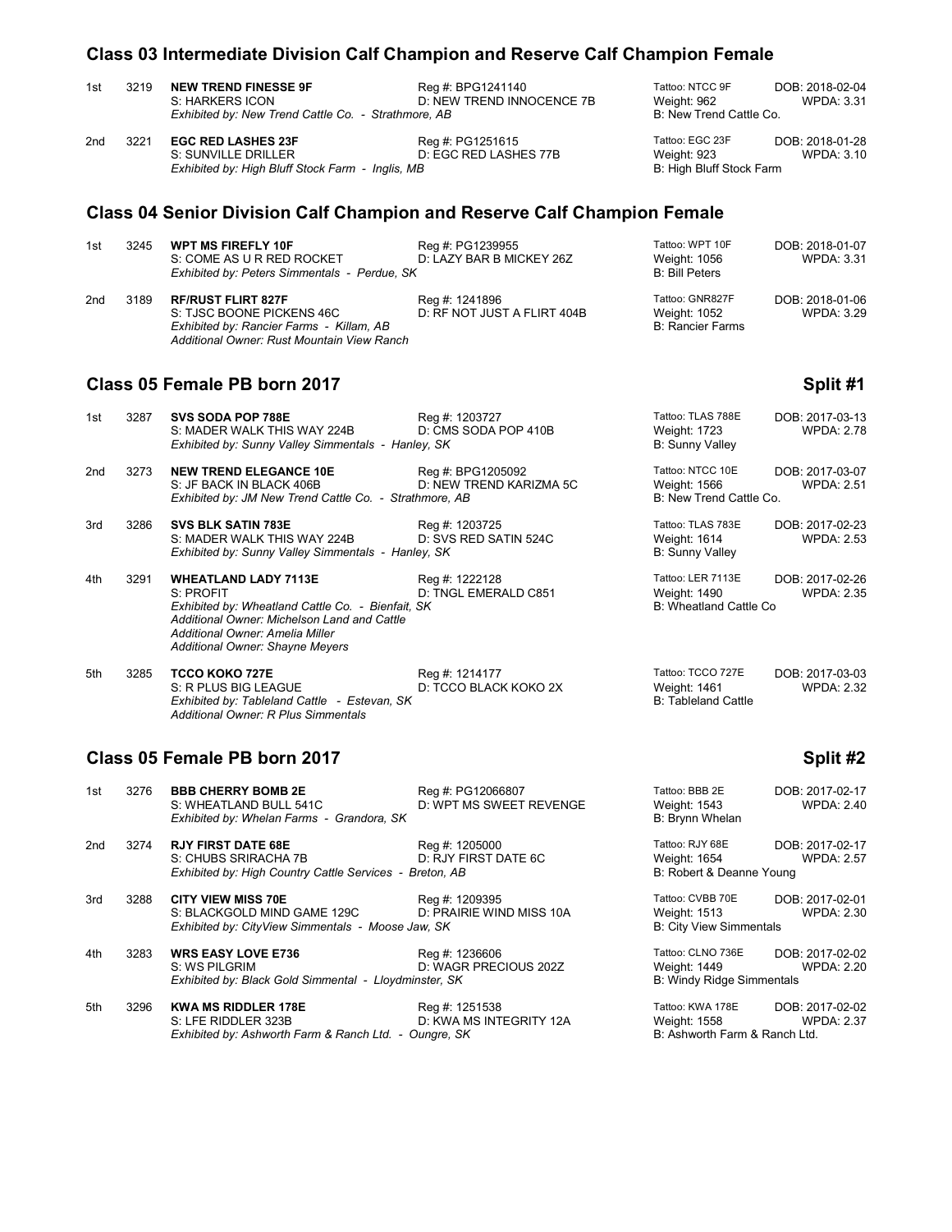## **Class 03 Intermediate Division Calf Champion and Reserve Calf Champion Female**

| 1st | 3219 | <b>NEW TREND FINESSE 9F</b>                         | Reg #: BPG1241140         |
|-----|------|-----------------------------------------------------|---------------------------|
|     |      | S: HARKERS ICON                                     | D: NEW TREND INNOCENCE 7B |
|     |      | Exhibited by: New Trend Cattle Co. - Strathmore, AB |                           |

| 2nd | 3221 EGC RED LASHES 23F                          | Reg #: PG1251615      | Tattoo: EGC 23F          | DOB: 2018-01-28   |
|-----|--------------------------------------------------|-----------------------|--------------------------|-------------------|
|     | S: SUNVILLE DRILLER                              | D: EGC RED LASHES 77B | Weight: 923              | <b>WPDA: 3.10</b> |
|     | Exhibited by: High Bluff Stock Farm - Inglis, MB |                       | B: High Bluff Stock Farm |                   |

## **Class 04 Senior Division Calf Champion and Reserve Calf Champion Female**

| 1st | 3245 | <b>WPT MS FIREFLY 10F</b><br>S: COME AS U R RED ROCKET<br>Exhibited by: Peters Simmentals - Perdue, SK                                           | Reg #: PG1239955<br>D: LAZY BAR B MICKEY 26Z  | Tattoo: WPT 10F<br>Weight: 1056<br><b>B: Bill Peters</b>   | DOB: 2018-01-07<br>WPDA: 3.31 |
|-----|------|--------------------------------------------------------------------------------------------------------------------------------------------------|-----------------------------------------------|------------------------------------------------------------|-------------------------------|
| 2nd | 3189 | <b>RF/RUST FLIRT 827F</b><br>S: TJSC BOONE PICKENS 46C<br>Exhibited by: Rancier Farms - Killam, AB<br>Additional Owner: Rust Mountain View Ranch | Reg #: 1241896<br>D: RF NOT JUST A FLIRT 404B | Tattoo: GNR827F<br>Weight: 1052<br><b>B: Rancier Farms</b> | DOB: 2018-01-06<br>WPDA: 3.29 |

Tattoo: NTCC 9F DOB: 2018-02-04<br>Weight: 962 WPDA: 3.31

Weight: 962 **B: New Trend Cattle Co.** 

## **Class 05 Female PB born 2017 Split #1 Split #1 Split #1**

| 1st | 3287 | <b>SVS SODA POP 788E</b><br>S: MADER WALK THIS WAY 224B<br>Exhibited by: Sunny Valley Simmentals - Hanley, SK                                                                                                             | Reg #: 1203727<br>D: CMS SODA POP 410B       | Tattoo: TLAS 788E<br>Weight: 1723<br><b>B: Sunny Valley</b>        | DOB: 2017-03-13<br><b>WPDA: 2.78</b> |
|-----|------|---------------------------------------------------------------------------------------------------------------------------------------------------------------------------------------------------------------------------|----------------------------------------------|--------------------------------------------------------------------|--------------------------------------|
| 2nd | 3273 | <b>NEW TREND ELEGANCE 10E</b><br>S: JF BACK IN BLACK 406B<br>Exhibited by: JM New Trend Cattle Co. - Strathmore, AB                                                                                                       | Reg #: BPG1205092<br>D: NEW TREND KARIZMA 5C | Tattoo: NTCC 10E<br>Weight: 1566<br>B: New Trend Cattle Co.        | DOB: 2017-03-07<br><b>WPDA: 2.51</b> |
| 3rd | 3286 | <b>SVS BLK SATIN 783E</b><br>S: MADER WALK THIS WAY 224B<br>Exhibited by: Sunny Valley Simmentals - Hanley, SK                                                                                                            | Reg #: 1203725<br>D: SVS RED SATIN 524C      | Tattoo: TLAS 783E<br><b>Weight: 1614</b><br><b>B: Sunny Valley</b> | DOB: 2017-02-23<br><b>WPDA: 2.53</b> |
| 4th | 3291 | <b>WHEATLAND LADY 7113E</b><br>S: PROFIT<br>Exhibited by: Wheatland Cattle Co. - Bienfait, SK<br>Additional Owner: Michelson Land and Cattle<br>Additional Owner: Amelia Miller<br><b>Additional Owner: Shayne Meyers</b> | Reg #: 1222128<br>D: TNGL EMERALD C851       | Tattoo: LER 7113E<br>Weight: 1490<br>B: Wheatland Cattle Co.       | DOB: 2017-02-26<br><b>WPDA: 2.35</b> |

| 5th | 3285 | <b>TCCO KOKO 727E</b>                        | Reg #: 1214177        | Tattoo: TCCO 727E   | DOB: 2017-03-03   |
|-----|------|----------------------------------------------|-----------------------|---------------------|-------------------|
|     |      | S: R PLUS BIG LEAGUE                         | D: TCCO BLACK KOKO 2X | Weight: 1461        | <b>WPDA: 2.32</b> |
|     |      | Exhibited by: Tableland Cattle - Estevan, SK |                       | B: Tableland Cattle |                   |
|     |      | Additional Owner: R Plus Simmentals          |                       |                     |                   |

### **Class 05 Female PB born 2017 Split #2 Split #2**

| 1st | 3276 | <b>BBB CHERRY BOMB 2E</b><br>S: WHEATLAND BULL 541C<br>Exhibited by: Whelan Farms - Grandora, SK              | Reg #: PG12066807<br>D: WPT MS SWEET REVENGE | Tattoo: BBB 2E<br>Weight: 1543<br>B: Brynn Whelan                     | DOB: 2017-02-17<br><b>WPDA: 2.40</b> |
|-----|------|---------------------------------------------------------------------------------------------------------------|----------------------------------------------|-----------------------------------------------------------------------|--------------------------------------|
| 2nd | 3274 | <b>RJY FIRST DATE 68E</b><br>S: CHUBS SRIRACHA 7B<br>Exhibited by: High Country Cattle Services - Breton, AB  | Reg #: 1205000<br>D: RJY FIRST DATE 6C       | Tattoo: RJY 68E<br>Weight: 1654<br>B: Robert & Deanne Young           | DOB: 2017-02-17<br><b>WPDA: 2.57</b> |
| 3rd | 3288 | <b>CITY VIEW MISS 70E</b><br>S: BLACKGOLD MIND GAME 129C<br>Exhibited by: CityView Simmentals - Moose Jaw, SK | Reg #: 1209395<br>D: PRAIRIE WIND MISS 10A   | Tattoo: CVBB 70E<br>Weight: 1513<br><b>B: City View Simmentals</b>    | DOB: 2017-02-01<br><b>WPDA: 2.30</b> |
| 4th | 3283 | <b>WRS EASY LOVE E736</b><br>S: WS PILGRIM<br>Exhibited by: Black Gold Simmental - Lloydminster, SK           | Reg #: 1236606<br>D: WAGR PRECIOUS 202Z      | Tattoo: CLNO 736E<br>Weight: 1449<br><b>B: Windy Ridge Simmentals</b> | DOB: 2017-02-02<br><b>WPDA: 2.20</b> |
| 5th | 3296 | <b>KWA MS RIDDLER 178E</b><br>S: LFE RIDDLER 323B<br>Exhibited by: Ashworth Farm & Ranch Ltd. - Oungre, SK    | Reg #: 1251538<br>D: KWA MS INTEGRITY 12A    | Tattoo: KWA 178E<br>Weight: 1558<br>B: Ashworth Farm & Ranch Ltd.     | DOB: 2017-02-02<br><b>WPDA: 2.37</b> |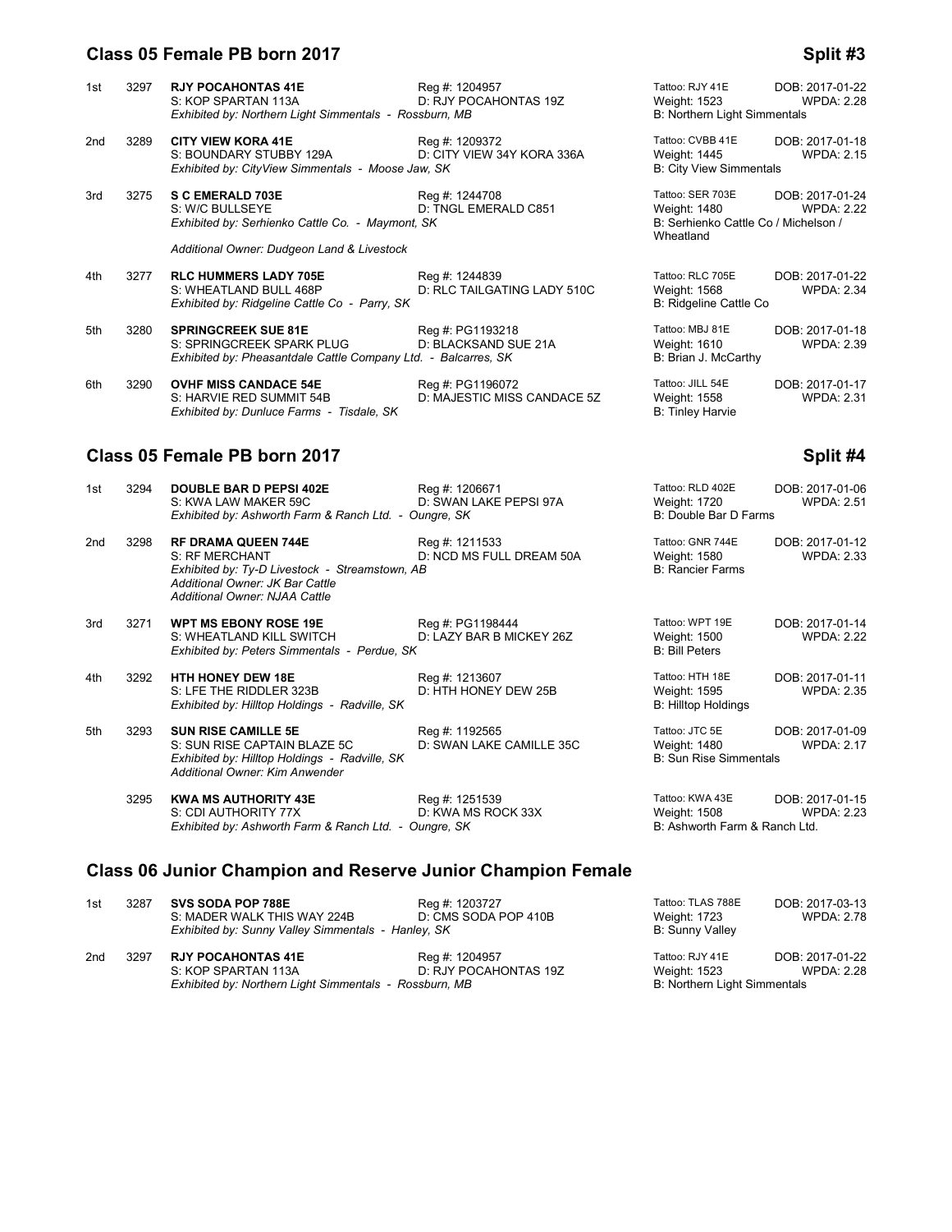### **Class 05 Female PB born 2017 Split #3 Split #3 Split #3**

|     |      | 00 . 0a. 0 . <del>0</del> . 00.                                                                                                                                           |                                                 |                                                                                              | -port 20                             |
|-----|------|---------------------------------------------------------------------------------------------------------------------------------------------------------------------------|-------------------------------------------------|----------------------------------------------------------------------------------------------|--------------------------------------|
| 1st | 3297 | <b>RJY POCAHONTAS 41E</b><br>S: KOP SPARTAN 113A<br>Exhibited by: Northern Light Simmentals - Rossburn, MB                                                                | Reg #: 1204957<br>D: RJY POCAHONTAS 19Z         | Tattoo: RJY 41E<br>Weight: 1523<br>B: Northern Light Simmentals                              | DOB: 2017-01-22<br><b>WPDA: 2.28</b> |
| 2nd | 3289 | <b>CITY VIEW KORA 41E</b><br>S: BOUNDARY STUBBY 129A<br>Exhibited by: CityView Simmentals - Moose Jaw, SK                                                                 | Reg #: 1209372<br>D: CITY VIEW 34Y KORA 336A    | Tattoo: CVBB 41E<br>Weight: 1445<br><b>B: City View Simmentals</b>                           | DOB: 2017-01-18<br><b>WPDA: 2.15</b> |
| 3rd | 3275 | <b>S C EMERALD 703E</b><br>S: W/C BULLSEYE<br>Exhibited by: Serhienko Cattle Co. - Maymont, SK                                                                            | Reg #: 1244708<br>D: TNGL EMERALD C851          | Tattoo: SER 703E<br><b>Weight: 1480</b><br>B: Serhienko Cattle Co / Michelson /<br>Wheatland | DOB: 2017-01-24<br><b>WPDA: 2.22</b> |
|     |      | Additional Owner: Dudgeon Land & Livestock                                                                                                                                |                                                 |                                                                                              |                                      |
| 4th | 3277 | <b>RLC HUMMERS LADY 705E</b><br>S: WHEATLAND BULL 468P<br>Exhibited by: Ridgeline Cattle Co - Parry, SK                                                                   | Reg #: 1244839<br>D: RLC TAILGATING LADY 510C   | Tattoo: RLC 705E<br>Weight: 1568<br>B: Ridgeline Cattle Co                                   | DOB: 2017-01-22<br><b>WPDA: 2.34</b> |
| 5th | 3280 | <b>SPRINGCREEK SUE 81E</b><br>S: SPRINGCREEK SPARK PLUG<br>Exhibited by: Pheasantdale Cattle Company Ltd. - Balcarres, SK                                                 | Reg #: PG1193218<br>D: BLACKSAND SUE 21A        | Tattoo: MBJ 81E<br>Weight: 1610<br>B: Brian J. McCarthy                                      | DOB: 2017-01-18<br><b>WPDA: 2.39</b> |
| 6th | 3290 | <b>OVHF MISS CANDACE 54E</b><br>S: HARVIE RED SUMMIT 54B<br>Exhibited by: Dunluce Farms - Tisdale, SK                                                                     | Reg #: PG1196072<br>D: MAJESTIC MISS CANDACE 5Z | Tattoo: JILL 54E<br>Weight: 1558<br>B: Tinley Harvie                                         | DOB: 2017-01-17<br><b>WPDA: 2.31</b> |
|     |      | Class 05 Female PB born 2017                                                                                                                                              |                                                 |                                                                                              | Split #4                             |
| 1st | 3294 | <b>DOUBLE BAR D PEPSI 402E</b><br>S: KWA LAW MAKER 59C<br>Exhibited by: Ashworth Farm & Ranch Ltd. - Oungre, SK                                                           | Reg #: 1206671<br>D: SWAN LAKE PEPSI 97A        | Tattoo: RLD 402E<br>Weight: 1720<br>B: Double Bar D Farms                                    | DOB: 2017-01-06<br><b>WPDA: 2.51</b> |
| 2nd | 3298 | <b>RF DRAMA QUEEN 744E</b><br>S: RF MERCHANT<br>Exhibited by: Ty-D Livestock - Streamstown, AB<br>Additional Owner: JK Bar Cattle<br><b>Additional Owner: NJAA Cattle</b> | Reg #: 1211533<br>D: NCD MS FULL DREAM 50A      | Tattoo: GNR 744E<br>Weight: 1580<br><b>B: Rancier Farms</b>                                  | DOB: 2017-01-12<br><b>WPDA: 2.33</b> |
| 3rd | 3271 | WPT MS EBONY ROSE 19E<br>S: WHEATLAND KILL SWITCH<br>Exhibited by: Peters Simmentals - Perdue, SK                                                                         | Reg #: PG1198444<br>D: LAZY BAR B MICKEY 26Z    | Tattoo: WPT 19E<br><b>Weight: 1500</b><br><b>B: Bill Peters</b>                              | DOB: 2017-01-14<br><b>WPDA: 2.22</b> |
| 4th | 3292 | <b>HTH HONEY DEW 18E</b><br>S: LFE THE RIDDLER 323B<br>Exhibited by: Hilltop Holdings - Radville, SK                                                                      | Reg #: 1213607<br>D: HTH HONEY DEW 25B          | Tattoo: HTH 18E<br>Weight: 1595<br><b>B: Hilltop Holdings</b>                                | DOB: 2017-01-11<br><b>WPDA: 2.35</b> |
| 5th | 3293 | <b>SUN RISE CAMILLE 5E</b><br>S: SUN RISE CAPTAIN BLAZE 5C<br>Exhibited by: Hilltop Holdings - Radville, SK                                                               | Reg #: 1192565<br>D: SWAN LAKE CAMILLE 35C      | Tattoo: JTC 5E<br><b>Weight: 1480</b><br><b>B: Sun Rise Simmentals</b>                       | DOB: 2017-01-09<br><b>WPDA: 2.17</b> |

 3295 **KWA MS AUTHORITY 43E** Reg #: 1251539 Tattoo: KWA 43E DOB: 2017-01-15 S: CDI AUTHORITY 77X D: KWA MS ROCK 33X Weight: 1508 WPDA: 2.23 **EXAM ANS AUTHORITY 43E**<br>
Exhibited by: Ashworth Farm & Ranch Ltd. - Oungre, SK<br>
Exhibited by: Ashworth Farm & Ranch Ltd. - Oungre, SK<br>
Exhibited by: Ashworth Farm & Ranch Ltd. - Oungre, SK

## **Class 06 Junior Champion and Reserve Junior Champion Female**

*Additional Owner: Kim Anwender*

| 1st | 3287 | <b>SVS SODA POP 788E</b><br>S: MADER WALK THIS WAY 224B<br>Exhibited by: Sunny Valley Simmentals - Hanley, SK | Reg #: 1203727<br>D: CMS SODA POP 410B  | Tattoo: TLAS 788E<br>Weight: 1723<br><b>B: Sunny Valley</b>            | DOB: 2017-03-13<br>WPDA: 2.78 |
|-----|------|---------------------------------------------------------------------------------------------------------------|-----------------------------------------|------------------------------------------------------------------------|-------------------------------|
| 2nd | 3297 | <b>RJY POCAHONTAS 41E</b><br>S: KOP SPARTAN 113A<br>Exhibited by: Northern Light Simmentals - Rossburn, MB    | Reg #: 1204957<br>D: RJY POCAHONTAS 19Z | Tattoo: RJY 41E<br>Weight: 1523<br><b>B: Northern Light Simmentals</b> | DOB: 2017-01-22<br>WPDA: 2.28 |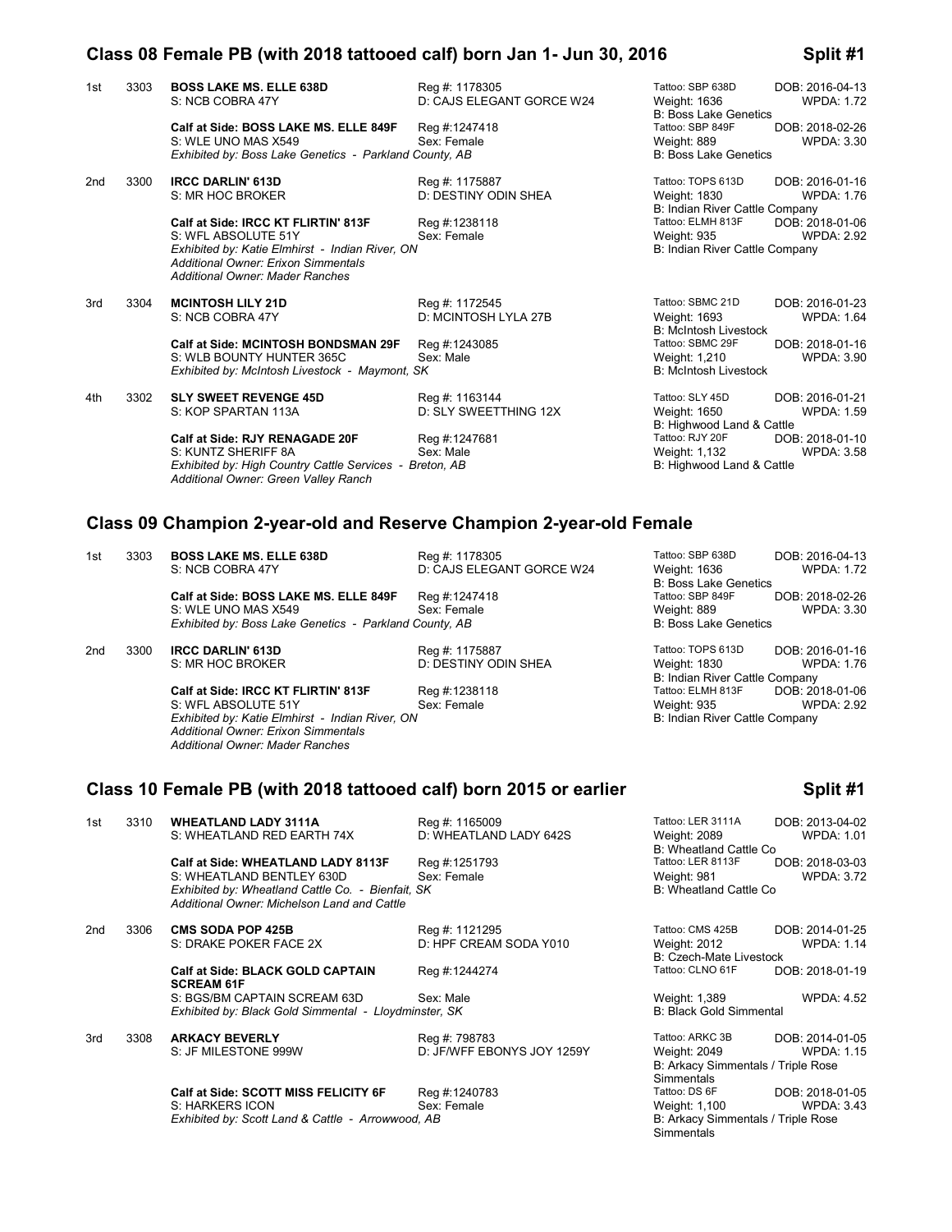### **Class 08 Female PB (with 2018 tattooed calf) born Jan 1- Jun 30, 2016 Split #1**

| 1st | 3303 | <b>BOSS LAKE MS. ELLE 638D</b><br>S: NCB COBRA 47Y                                                                                                                                      | Reg #: 1178305<br>D: CAJS ELEGANT GORCE W24 | Tattoo: SBP 638D<br>Weight: 1636<br><b>B: Boss Lake Genetics</b>          | DOB: 2016-04-13<br><b>WPDA: 1.72</b> |
|-----|------|-----------------------------------------------------------------------------------------------------------------------------------------------------------------------------------------|---------------------------------------------|---------------------------------------------------------------------------|--------------------------------------|
|     |      | Calf at Side: BOSS LAKE MS. ELLE 849F<br>S: WLE UNO MAS X549<br>Exhibited by: Boss Lake Genetics - Parkland County, AB                                                                  | Reg #:1247418<br>Sex: Female                | Tattoo: SBP 849F<br>Weight: 889<br><b>B: Boss Lake Genetics</b>           | DOB: 2018-02-26<br><b>WPDA: 3.30</b> |
| 2nd | 3300 | <b>IRCC DARLIN' 613D</b><br>S: MR HOC BROKER                                                                                                                                            | Reg #: 1175887<br>D: DESTINY ODIN SHEA      | Tattoo: TOPS 613D<br>Weight: 1830<br>B: Indian River Cattle Company       | DOB: 2016-01-16<br><b>WPDA: 1.76</b> |
|     |      | Calf at Side: IRCC KT FLIRTIN' 813F<br>S: WFL ABSOLUTE 51Y<br>Exhibited by: Katie Elmhirst - Indian River, ON<br>Additional Owner: Erixon Simmentals<br>Additional Owner: Mader Ranches | Reg #:1238118<br>Sex: Female                | Tattoo: ELMH 813F<br><b>Weight: 935</b><br>B: Indian River Cattle Company | DOB: 2018-01-06<br><b>WPDA: 2.92</b> |
| 3rd | 3304 | <b>MCINTOSH LILY 21D</b><br>S: NCB COBRA 47Y                                                                                                                                            | Reg #: 1172545<br>D: MCINTOSH LYLA 27B      | Tattoo: SBMC 21D<br>Weight: 1693<br><b>B: McIntosh Livestock</b>          | DOB: 2016-01-23<br><b>WPDA: 1.64</b> |
|     |      | <b>Calf at Side: MCINTOSH BONDSMAN 29F</b><br>S: WLB BOUNTY HUNTER 365C<br>Exhibited by: McIntosh Livestock - Maymont, SK                                                               | Reg #:1243085<br>Sex: Male                  | Tattoo: SBMC 29F<br>Weight: 1,210<br><b>B: McIntosh Livestock</b>         | DOB: 2018-01-16<br><b>WPDA: 3.90</b> |
| 4th | 3302 | <b>SLY SWEET REVENGE 45D</b><br>S: KOP SPARTAN 113A                                                                                                                                     | Reg #: 1163144<br>D: SLY SWEETTHING 12X     | Tattoo: SLY 45D<br>Weight: 1650<br>B: Highwood Land & Cattle              | DOB: 2016-01-21<br><b>WPDA: 1.59</b> |
|     |      | Calf at Side: RJY RENAGADE 20F<br>S: KUNTZ SHERIFF 8A<br>Exhibited by: High Country Cattle Services - Breton, AB<br>Additional Owner: Green Valley Ranch                                | Reg #:1247681<br>Sex: Male                  | Tattoo: RJY 20F<br>Weight: 1,132<br>B: Highwood Land & Cattle             | DOB: 2018-01-10<br><b>WPDA: 3.58</b> |

## **Class 09 Champion 2-year-old and Reserve Champion 2-year-old Female**

| 1st | 3303 | <b>BOSS LAKE MS. ELLE 638D</b><br>S: NCB COBRA 47Y                                                                                                                                             | Reg #: 1178305<br>D: CAJS ELEGANT GORCE W24 | Tattoo: SBP 638D<br>Weight: 1636<br><b>B: Boss Lake Genetics</b>    | DOB: 2016-04-13<br><b>WPDA: 1.72</b> |
|-----|------|------------------------------------------------------------------------------------------------------------------------------------------------------------------------------------------------|---------------------------------------------|---------------------------------------------------------------------|--------------------------------------|
|     |      | Calf at Side: BOSS LAKE MS. ELLE 849F<br>S: WLE UNO MAS X549<br>Exhibited by: Boss Lake Genetics - Parkland County, AB                                                                         | Reg #:1247418<br>Sex: Female                | Tattoo: SBP 849F<br>Weight: 889<br><b>B: Boss Lake Genetics</b>     | DOB: 2018-02-26<br>WPDA: 3.30        |
| 2nd | 3300 | <b>IRCC DARLIN' 613D</b><br>S: MR HOC BROKER                                                                                                                                                   | Reg #: 1175887<br>D: DESTINY ODIN SHEA      | Tattoo: TOPS 613D<br>Weight: 1830<br>B: Indian River Cattle Company | DOB: 2016-01-16<br>WPDA: 1.76        |
|     |      | Calf at Side: IRCC KT FLIRTIN' 813F<br>S: WFL ABSOLUTE 51Y<br>Exhibited by: Katie Elmhirst - Indian River, ON<br><b>Additional Owner: Erixon Simmentals</b><br>Additional Owner: Mader Ranches | Reg #:1238118<br>Sex: Female                | Tattoo: ELMH 813F<br>Weight: 935<br>B: Indian River Cattle Company  | DOB: 2018-01-06<br><b>WPDA: 2.92</b> |
|     |      | Class 10 Female PB (with 2018 tattooed calf) born 2015 or earlier                                                                                                                              |                                             |                                                                     | Split #1                             |
| 1st | 3310 | <b>WHEATLAND LADY 3111A</b><br>S: WHEATLAND RED EARTH 74X                                                                                                                                      | Reg #: 1165009<br>D: WHEATLAND LADY 642S    | Tattoo: LER 3111A<br>Weight: 2089<br>B: Wheatland Cattle Co         | DOB: 2013-04-02<br>WPDA: 1.01        |
|     |      | Calf at Side: WHEATLAND LADY 8113F                                                                                                                                                             | Reg #:1251793                               | Tattoo: LER 8113F                                                   | DOB: 2018-03-03                      |

|      |                                                              |                            | B: Wheatland Cattle Co.                                                                                                                                         |                   |
|------|--------------------------------------------------------------|----------------------------|-----------------------------------------------------------------------------------------------------------------------------------------------------------------|-------------------|
|      | Calf at Side: WHEATLAND LADY 8113F                           | Reg #:1251793              | Tattoo: LER 8113F                                                                                                                                               | DOB: 2018-03-03   |
|      | S: WHEATLAND BENTLEY 630D                                    | Sex: Female                | Weight: 981                                                                                                                                                     | <b>WPDA: 3.72</b> |
|      | Additional Owner: Michelson Land and Cattle                  |                            | B: Wheatland Cattle Co.                                                                                                                                         |                   |
| 3306 | <b>CMS SODA POP 425B</b>                                     | Reg #: 1121295             | Tattoo: CMS 425B                                                                                                                                                | DOB: 2014-01-25   |
|      | S: DRAKE POKER FACE 2X                                       | D: HPF CREAM SODA Y010     | Weight: 2012                                                                                                                                                    | <b>WPDA: 1.14</b> |
|      |                                                              |                            | B: Czech-Mate Livestock                                                                                                                                         |                   |
|      | <b>Calf at Side: BLACK GOLD CAPTAIN</b><br><b>SCREAM 61F</b> | Reg #:1244274              | Tattoo: CLNO 61F                                                                                                                                                | DOB: 2018-01-19   |
|      | S: BGS/BM CAPTAIN SCREAM 63D                                 | Sex: Male                  | Weight: 1,389                                                                                                                                                   | <b>WPDA: 4.52</b> |
|      |                                                              |                            | <b>B: Black Gold Simmental</b>                                                                                                                                  |                   |
| 3308 | <b>ARKACY BEVERLY</b>                                        | Reg #: 798783              | Tattoo: ARKC 3B                                                                                                                                                 | DOB: 2014-01-05   |
|      | S: JF MILESTONE 999W                                         | D: JF/WFF EBONYS JOY 1259Y | Weight: 2049                                                                                                                                                    | <b>WPDA: 1.15</b> |
|      |                                                              |                            | B: Arkacy Simmentals / Triple Rose                                                                                                                              |                   |
|      |                                                              |                            | Simmentals                                                                                                                                                      |                   |
|      | Calf at Side: SCOTT MISS FELICITY 6F                         | Reg #:1240783              | Tattoo: DS 6F                                                                                                                                                   | DOB: 2018-01-05   |
|      | S: HARKERS ICON                                              | Sex: Female                | Weight: 1,100                                                                                                                                                   | <b>WPDA: 3.43</b> |
|      |                                                              |                            | B: Arkacy Simmentals / Triple Rose                                                                                                                              |                   |
|      |                                                              |                            | Exhibited by: Wheatland Cattle Co. - Bienfait, SK<br>Exhibited by: Black Gold Simmental - Lloydminster, SK<br>Exhibited by: Scott Land & Cattle - Arrowwood, AB |                   |

| weight: 1,389<br><b>B: Black Gold Simmental</b> | WPDA: 4.52        |
|-------------------------------------------------|-------------------|
| Tattoo: ARKC 3B                                 | DOB: 2014-01-05   |
| Weight: 2049                                    | <b>WPDA: 1.15</b> |
| B: Arkacy Simmentals / Triple Rose              |                   |
| Simmentals                                      |                   |
| Tattoo: DS 6F                                   | DOB: 2018-01-05   |
| Weight: 1,100                                   | <b>WPDA: 3.43</b> |
| B: Arkacy Simmentals / Triple Rose              |                   |
| Simmentals                                      |                   |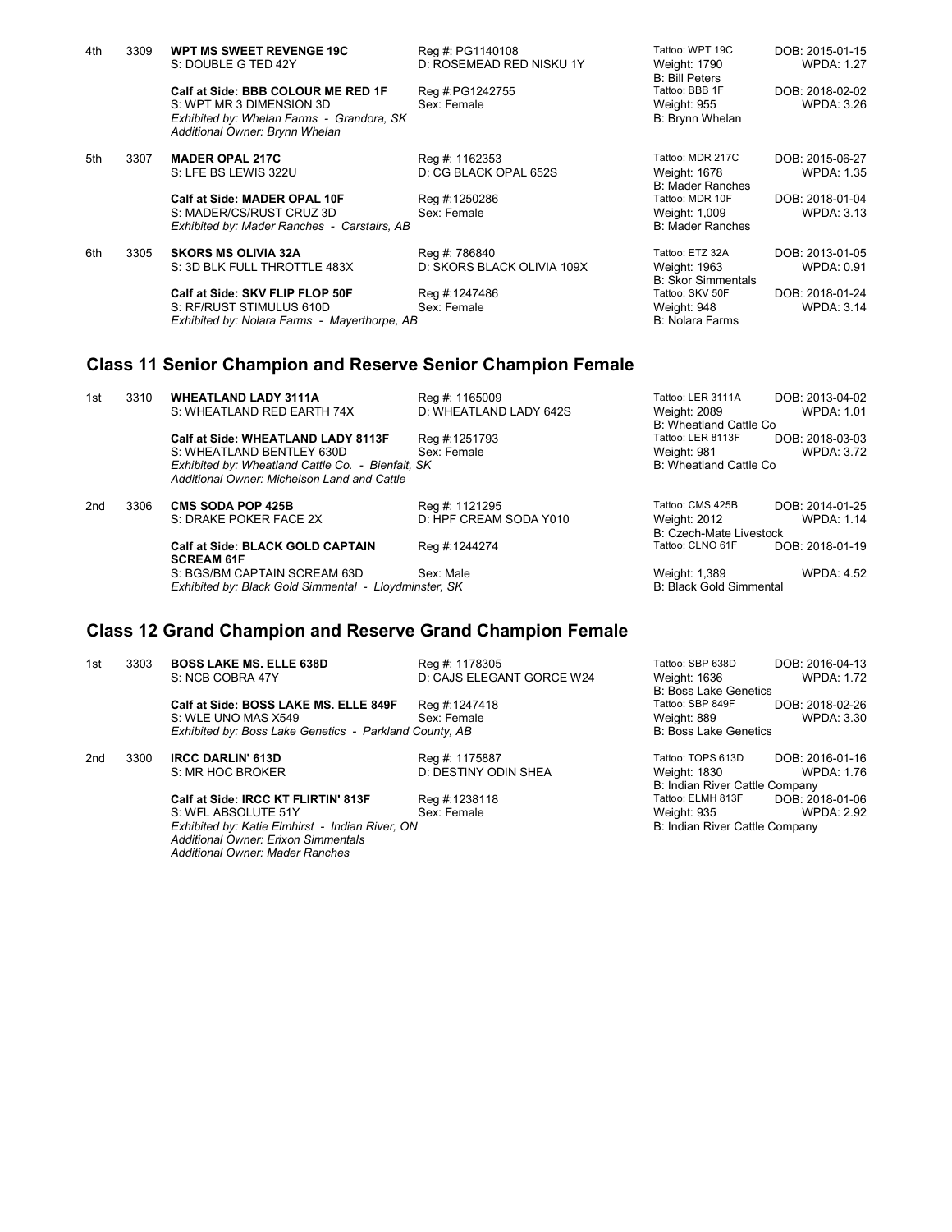| 4th | 3309 | <b>WPT MS SWEET REVENGE 19C</b><br>S: DOUBLE G TED 42Y                                                                                        | Reg #: PG1140108<br>D: ROSEMEAD RED NISKU 1Y | Tattoo: WPT 19C<br>Weight: 1790<br><b>B: Bill Peters</b>           | DOB: 2015-01-15<br><b>WPDA: 1.27</b> |
|-----|------|-----------------------------------------------------------------------------------------------------------------------------------------------|----------------------------------------------|--------------------------------------------------------------------|--------------------------------------|
|     |      | Calf at Side: BBB COLOUR ME RED 1F<br>S: WPT MR 3 DIMENSION 3D<br>Exhibited by: Whelan Farms - Grandora, SK<br>Additional Owner: Brynn Whelan | Reg #:PG1242755<br>Sex: Female               | Tattoo: BBB 1F<br><b>Weight: 955</b><br>B: Brynn Whelan            | DOB: 2018-02-02<br><b>WPDA: 3.26</b> |
| 5th | 3307 | <b>MADER OPAL 217C</b><br>S: LFE BS LEWIS 322U                                                                                                | Reg #: 1162353<br>D: CG BLACK OPAL 652S      | Tattoo: MDR 217C<br><b>Weight: 1678</b><br><b>B: Mader Ranches</b> | DOB: 2015-06-27<br><b>WPDA: 1.35</b> |
|     |      | Calf at Side: MADER OPAL 10F<br>S: MADER/CS/RUST CRUZ 3D<br>Exhibited by: Mader Ranches - Carstairs, AB                                       | Reg #:1250286<br>Sex: Female                 | Tattoo: MDR 10F<br>Weight: 1,009<br><b>B: Mader Ranches</b>        | DOB: 2018-01-04<br><b>WPDA: 3.13</b> |
| 6th | 3305 | <b>SKORS MS OLIVIA 32A</b><br>S: 3D BLK FULL THROTTLE 483X                                                                                    | Reg #: 786840<br>D: SKORS BLACK OLIVIA 109X  | Tattoo: ETZ 32A<br>Weight: 1963<br><b>B: Skor Simmentals</b>       | DOB: 2013-01-05<br><b>WPDA: 0.91</b> |
|     |      | Calf at Side: SKV FLIP FLOP 50F<br>S: RF/RUST STIMULUS 610D<br>Exhibited by: Nolara Farms - Mayerthorpe, AB                                   | Reg #:1247486<br>Sex: Female                 | Tattoo: SKV 50F<br>Weight: 948<br><b>B: Nolara Farms</b>           | DOB: 2018-01-24<br><b>WPDA: 3.14</b> |

## **Class 11 Senior Champion and Reserve Senior Champion Female**

| 1st             | 3310 | <b>WHEATLAND LADY 3111A</b>                                                                      | Reg #: 1165009         | Tattoo: LER 3111A              | DOB: 2013-04-02   |
|-----------------|------|--------------------------------------------------------------------------------------------------|------------------------|--------------------------------|-------------------|
|                 |      | S: WHEATLAND RED EARTH 74X                                                                       | D: WHEATLAND LADY 642S | Weight: 2089                   | WPDA: 1.01        |
|                 |      |                                                                                                  |                        | B: Wheatland Cattle Co.        |                   |
|                 |      | Calf at Side: WHEATLAND LADY 8113F                                                               | Reg #:1251793          | Tattoo: LER 8113F              | DOB: 2018-03-03   |
|                 |      | S: WHEATLAND BENTLEY 630D                                                                        | Sex: Female            | Weight: 981                    | <b>WPDA: 3.72</b> |
|                 |      | Exhibited by: Wheatland Cattle Co. - Bienfait, SK<br>Additional Owner: Michelson Land and Cattle |                        | B: Wheatland Cattle Co.        |                   |
| 2 <sub>nd</sub> | 3306 | <b>CMS SODA POP 425B</b>                                                                         | Reg #: 1121295         | Tattoo: CMS 425B               | DOB: 2014-01-25   |
|                 |      | S: DRAKE POKER FACE 2X                                                                           | D: HPF CREAM SODA Y010 | <b>Weight: 2012</b>            | <b>WPDA: 1.14</b> |
|                 |      |                                                                                                  |                        | B: Czech-Mate Livestock        |                   |
|                 |      | <b>Calf at Side: BLACK GOLD CAPTAIN</b><br><b>SCREAM 61F</b>                                     | Reg #:1244274          | Tattoo: CLNO 61F               | DOB: 2018-01-19   |
|                 |      | S: BGS/BM CAPTAIN SCREAM 63D                                                                     | Sex: Male              | Weight: 1,389                  | <b>WPDA: 4.52</b> |
|                 |      | Exhibited by: Black Gold Simmental - Lloydminster, SK                                            |                        | <b>B: Black Gold Simmental</b> |                   |
|                 |      |                                                                                                  |                        |                                |                   |

## **Class 12 Grand Champion and Reserve Grand Champion Female**

| 1st | 3303 | <b>BOSS LAKE MS. ELLE 638D</b>                         | Reg #: 1178305            | Tattoo: SBP 638D               | DOB: 2016-04-13   |
|-----|------|--------------------------------------------------------|---------------------------|--------------------------------|-------------------|
|     |      | S: NCB COBRA 47Y                                       | D: CAJS ELEGANT GORCE W24 | Weight: 1636                   | <b>WPDA: 1.72</b> |
|     |      |                                                        |                           | <b>B: Boss Lake Genetics</b>   |                   |
|     |      | Calf at Side: BOSS LAKE MS. ELLE 849F                  | Reg #:1247418             | Tattoo: SBP 849F               | DOB: 2018-02-26   |
|     |      | S: WLE UNO MAS X549                                    | Sex: Female               | Weight: 889                    | WPDA: 3.30        |
|     |      | Exhibited by: Boss Lake Genetics - Parkland County, AB |                           | <b>B: Boss Lake Genetics</b>   |                   |
| 2nd | 3300 | <b>IRCC DARLIN' 613D</b>                               | Reg #: 1175887            | Tattoo: TOPS 613D              | DOB: 2016-01-16   |
|     |      | S: MR HOC BROKER                                       | D: DESTINY ODIN SHEA      | Weight: 1830                   | WPDA: 1.76        |
|     |      |                                                        |                           | B: Indian River Cattle Company |                   |
|     |      |                                                        | 11.1000110                | _  _ _ <del>.</del>            |                   |

S: WFL ABSOLUTE 51Y Sex: Female Sextern Meight: 935 WPDA: 2.92<br>
Exhibited by: Katie Elmhirst - Indian River, ON Sex: Female Sextern Meight: 935 MPDA: 2.92 *Exhibited by: Katie Elmhirst - Indian River, ON* B: Indian River Cattle Company *Additional Owner: Erixon Simmentals Additional Owner: Mader Ranches*

**Calf at Side: IRCC KT FLIRTIN' 813F** Reg #:1238118 Tattoo: ELMH 813F DOB: 2018-01-06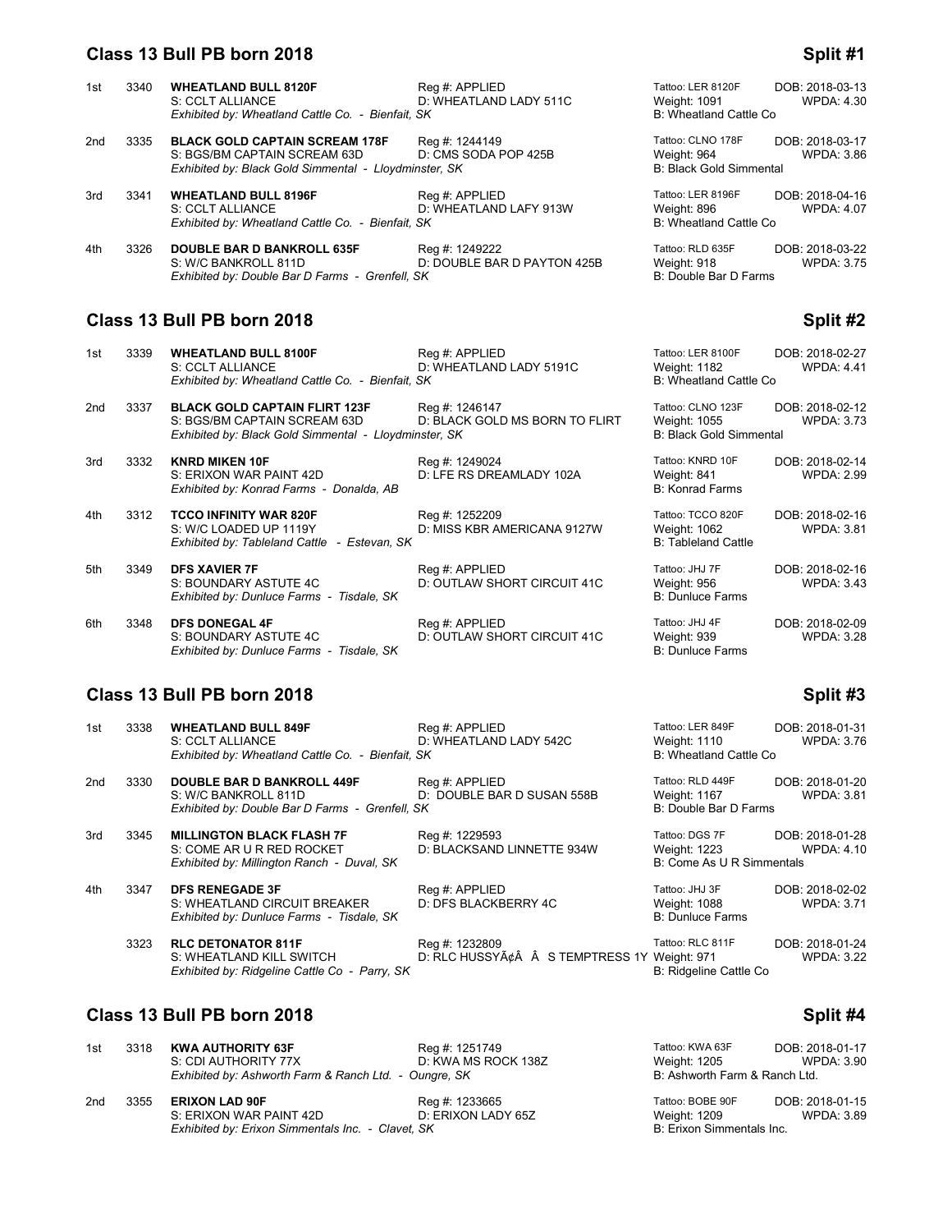#### **Class 13 Bull PB born 2018 Split #1 Split #1 Split #1 Split #1**

| 1st | 3340 | <b>WHEATLAND BULL 8120F</b>                           | Reg #: APPLIED              | Tattoo: LER 8120F              | DOB: 2018-03-13   |
|-----|------|-------------------------------------------------------|-----------------------------|--------------------------------|-------------------|
|     |      | S: CCLT ALLIANCE                                      | D: WHEATLAND LADY 511C      | Weight: 1091                   | <b>WPDA: 4.30</b> |
|     |      | Exhibited by: Wheatland Cattle Co. - Bienfait, SK     |                             | B: Wheatland Cattle Co         |                   |
| 2nd | 3335 | <b>BLACK GOLD CAPTAIN SCREAM 178F</b>                 | Reg #: 1244149              | Tattoo: CLNO 178F              | DOB: 2018-03-17   |
|     |      | S: BGS/BM CAPTAIN SCREAM 63D                          | D: CMS SODA POP 425B        | Weight: 964                    | <b>WPDA: 3.86</b> |
|     |      | Exhibited by: Black Gold Simmental - Lloydminster, SK |                             | <b>B: Black Gold Simmental</b> |                   |
| 3rd | 3341 | <b>WHEATLAND BULL 8196F</b>                           | Reg #: APPLIED              | Tattoo: LER 8196F              | DOB: 2018-04-16   |
|     |      | S: CCLT ALLIANCE                                      | D: WHEATLAND LAFY 913W      | Weight: 896                    | <b>WPDA: 4.07</b> |
|     |      | Exhibited by: Wheatland Cattle Co. - Bienfait, SK     |                             | B: Wheatland Cattle Co.        |                   |
| 4th | 3326 | <b>DOUBLE BAR D BANKROLL 635F</b>                     | Reg #: 1249222              | Tattoo: RLD 635F               | DOB: 2018-03-22   |
|     |      | S: W/C BANKROLL 811D                                  | D: DOUBLE BAR D PAYTON 425B | Weight: 918                    | <b>WPDA: 3.75</b> |
|     |      | Exhibited by: Double Bar D Farms - Grenfell, SK       |                             | B: Double Bar D Farms          |                   |

## **Class 13 Bull PB born 2018 Split #2 Split #2**

| 1st             | 3339 | <b>WHEATLAND BULL 8100F</b><br>S: CCLT ALLIANCE<br>Exhibited by: Wheatland Cattle Co. - Bienfait, SK                          | Reg #: APPLIED<br>D: WHEATLAND LADY 5191C        | Tattoo: LER 8100F<br>Weight: 1182<br>B: Wheatland Cattle Co         | DOB: 2018-02-27<br><b>WPDA: 4.41</b> |
|-----------------|------|-------------------------------------------------------------------------------------------------------------------------------|--------------------------------------------------|---------------------------------------------------------------------|--------------------------------------|
| 2 <sub>nd</sub> | 3337 | <b>BLACK GOLD CAPTAIN FLIRT 123F</b><br>S: BGS/BM CAPTAIN SCREAM 63D<br>Exhibited by: Black Gold Simmental - Lloydminster, SK | Reg #: 1246147<br>D: BLACK GOLD MS BORN TO FLIRT | Tattoo: CLNO 123F<br>Weight: 1055<br><b>B: Black Gold Simmental</b> | DOB: 2018-02-12<br><b>WPDA: 3.73</b> |
| 3rd             | 3332 | <b>KNRD MIKEN 10F</b><br>S: ERIXON WAR PAINT 42D<br>Exhibited by: Konrad Farms - Donalda, AB                                  | Reg #: 1249024<br>D: LFE RS DREAMLADY 102A       | Tattoo: KNRD 10F<br>Weight: 841<br><b>B: Konrad Farms</b>           | DOB: 2018-02-14<br><b>WPDA: 2.99</b> |
| 4th             | 3312 | <b>TCCO INFINITY WAR 820F</b><br>S: W/C LOADED UP 1119Y<br>Exhibited by: Tableland Cattle - Estevan, SK                       | Reg #: 1252209<br>D: MISS KBR AMERICANA 9127W    | Tattoo: TCCO 820F<br>Weight: 1062<br><b>B: Tableland Cattle</b>     | DOB: 2018-02-16<br><b>WPDA: 3.81</b> |
| 5th             | 3349 | <b>DFS XAVIER 7F</b><br>S: BOUNDARY ASTUTE 4C<br>Exhibited by: Dunluce Farms - Tisdale, SK                                    | Reg #: APPLIED<br>D: OUTLAW SHORT CIRCUIT 41C    | Tattoo: JHJ 7F<br>Weight: 956<br><b>B: Dunluce Farms</b>            | DOB: 2018-02-16<br><b>WPDA: 3.43</b> |
| 6th             | 3348 | <b>DFS DONEGAL 4F</b><br>S: BOUNDARY ASTUTE 4C<br>Exhibited by: Dunluce Farms - Tisdale, SK                                   | Reg #: APPLIED<br>D: OUTLAW SHORT CIRCUIT 41C    | Tattoo: JHJ 4F<br>Weight: 939<br><b>B: Dunluce Farms</b>            | DOB: 2018-02-09<br><b>WPDA: 3.28</b> |

### **Class 13 Bull PB born 2018 Split #3 Split #3**

| 1st | 3338 | <b>WHEATLAND BULL 849F</b><br>S: CCLT ALLIANCE<br>Exhibited by: Wheatland Cattle Co. - Bienfait, SK          | Reg #: APPLIED<br>D: WHEATLAND LADY 542C                    | Tattoo: LER 849F<br>Weight: 1110<br>B: Wheatland Cattle Co  | DOB: 2018-01-31<br>WPDA: 3.76        |
|-----|------|--------------------------------------------------------------------------------------------------------------|-------------------------------------------------------------|-------------------------------------------------------------|--------------------------------------|
| 2nd | 3330 | <b>DOUBLE BAR D BANKROLL 449F</b><br>S: W/C BANKROLL 811D<br>Exhibited by: Double Bar D Farms - Grenfell, SK | Reg #: APPLIED<br>D: DOUBLE BAR D SUSAN 558B                | Tattoo: RLD 449F<br>Weight: 1167<br>B: Double Bar D Farms   | DOB: 2018-01-20<br><b>WPDA: 3.81</b> |
| 3rd | 3345 | <b>MILLINGTON BLACK FLASH 7F</b><br>S: COME AR U R RED ROCKET<br>Exhibited by: Millington Ranch - Duval. SK  | Reg #: 1229593<br>D: BLACKSAND LINNETTE 934W                | Tattoo: DGS 7F<br>Weight: 1223<br>B: Come As U R Simmentals | DOB: 2018-01-28<br>WPDA: 4.10        |
| 4th | 3347 | <b>DFS RENEGADE 3F</b><br>S: WHEATLAND CIRCUIT BREAKER<br>Exhibited by: Dunluce Farms - Tisdale. SK          | Reg #: APPLIED<br>D: DFS BLACKBERRY 4C                      | Tattoo: JHJ 3F<br>Weight: 1088<br><b>B: Dunluce Farms</b>   | DOB: 2018-02-02<br><b>WPDA: 3.71</b> |
|     | 3323 | <b>RLC DETONATOR 811F</b><br>S: WHEATLAND KILL SWITCH<br>Exhibited by: Ridgeline Cattle Co - Parry, SK       | Reg #: 1232809<br>D: RLC HUSSYâ  S TEMPTRESS 1Y Weight: 971 | Tattoo: RLC 811F<br>B: Ridgeline Cattle Co                  | DOB: 2018-01-24<br><b>WPDA: 3.22</b> |

## **Class 13 Bull PB born 2018 Split #4**

| 1st | 3318 | KWA AUTHORITY 63F                                     | Reg #: 1251749            | Tattoo: KWA 63F               | DOB: 2018-01-17   |
|-----|------|-------------------------------------------------------|---------------------------|-------------------------------|-------------------|
|     |      | S: CDI AUTHORITY 77X                                  | D: KWA MS ROCK 138Z       | Weight: 1205                  | WPDA: 3.90        |
|     |      | Exhibited by: Ashworth Farm & Ranch Ltd. - Oungre, SK |                           | B: Ashworth Farm & Ranch Ltd. |                   |
| 2nd | 3355 | <b>ERIXON LAD 90F</b>                                 | Reg #: 1233665            | Tattoo: BOBE 90F              | DOB: 2018-01-15   |
|     |      | S: ERIXON WAR PAINT 42D                               | D: ERIXON LADY 65Z        | Weight: 1209                  | <b>WPDA: 3.89</b> |
|     |      | Exhibited by: Erixon Simmentals Inc. - Clavet, SK     | B: Erixon Simmentals Inc. |                               |                   |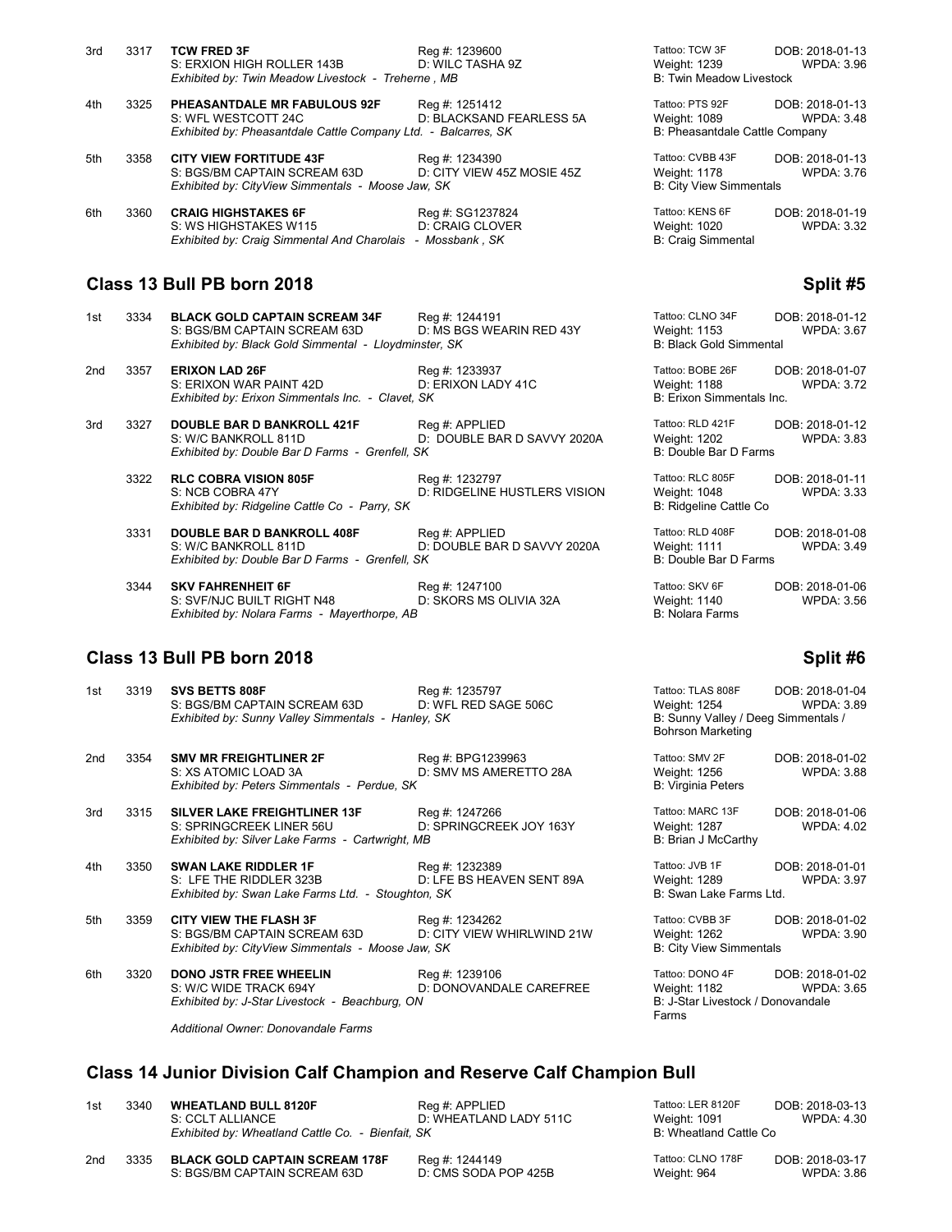| 3rd | 3317 | <b>TCW FRED 3F</b>                                             | Reg #: 1239600             | Tattoo: TCW 3F                  | DOB: 2018-01-13   |
|-----|------|----------------------------------------------------------------|----------------------------|---------------------------------|-------------------|
|     |      | S: ERXION HIGH ROLLER 143B                                     | D: WILC TASHA 9Z           | Weight: 1239                    | <b>WPDA: 3.96</b> |
|     |      | Exhibited by: Twin Meadow Livestock - Treherne, MB             |                            | <b>B: Twin Meadow Livestock</b> |                   |
| 4th | 3325 | <b>PHEASANTDALE MR FABULOUS 92F</b>                            | Reg #: 1251412             | Tattoo: PTS 92F                 | DOB: 2018-01-13   |
|     |      | S: WFL WESTCOTT 24C                                            | D: BLACKSAND FEARLESS 5A   | Weight: 1089                    | <b>WPDA: 3.48</b> |
|     |      | Exhibited by: Pheasantdale Cattle Company Ltd. - Balcarres, SK |                            | B: Pheasantdale Cattle Company  |                   |
| 5th | 3358 | <b>CITY VIEW FORTITUDE 43F</b>                                 | Reg #: 1234390             | Tattoo: CVBB 43F                | DOB: 2018-01-13   |
|     |      | S: BGS/BM CAPTAIN SCREAM 63D                                   | D: CITY VIEW 45Z MOSIE 45Z | Weight: 1178                    | <b>WPDA: 3.76</b> |
|     |      | Exhibited by: CityView Simmentals - Moose Jaw, SK              |                            | <b>B: City View Simmentals</b>  |                   |
| 6th | 3360 | <b>CRAIG HIGHSTAKES 6F</b>                                     | Reg #: SG1237824           | Tattoo: KENS 6F                 | DOB: 2018-01-19   |
|     |      | S: WS HIGHSTAKES W115                                          | D: CRAIG CLOVER            | Weight: 1020                    | <b>WPDA: 3.32</b> |
|     |      | Exhibited by: Craig Simmental And Charolais - Mossbank, SK     |                            | <b>B: Craig Simmental</b>       |                   |
|     |      |                                                                |                            |                                 |                   |

### **Class 13 Bull PB born 2018 Split #5** Split #5

1st 3334 **BLACK GOLD CAPTAIN SCREAM 34F** Reg #: 1244191<br>S: BGS/BM CAPTAIN SCREAM 63D D: MS BGS WEARIN RED 43Y S: BGS/BM CAPTAIN SCREAM 63D *Exhibited by: Black Gold Simmental - Lloydminster, SK* 

2nd 3357 **ERIXON LAD 26F** Reg #: 1233937<br>S: ERIXON WAR PAINT 42D D: ERIXON LADY 41C S: ERIXON WAR PAINT 42D *Exhibited by: Erixon Simmentals Inc. - Clavet, SK* 

3rd 3327 **DOUBLE BAR D BANKROLL 421F** Reg #: APPLIED S: W/C BANKROLL 811D D: DOUBLE BAF D: DOUBLE BAR D SAVVY 2020A *Exhibited by: Double Bar D Farms - Grenfell, SK* 

**RLC COBRA VISION 805F** Reg #: 1232797<br>S: NCB COBRA 47Y D: RIDGELINE F D: RIDGELINE HUSTLERS VISION *Exhibited by: Ridgeline Cattle Co - Parry, SK* 

3331 **DOUBLE BAR D BANKROLL 408F** Reg #: APPLIED S: W/C BANKROLL 811D D: DOUBLE BAR D: DOUBLE BAR D SAVVY 2020A *Exhibited by: Double Bar D Farms - Grenfell, SK* 

3344 **SKV FAHRENHEIT 6F** Reg #: 1247100 Tattoo: SKV 6F DOB: 2018-01-06<br>S: SVF/NJC BUILT RIGHT N48 D: SKORS MS OLIVIA 32A Weight: 1140 WPDA: 3.56 S: SVF/NJC BUILT RIGHT N48 D: SKORS MS OLIVIA 32A Weight: 1140<br>Exhibited by: Nolara Farms - Mayerthorpe, AB *Exhibited by: Nolara Farms - Mayerthorpe, AB* 

### **Class 13 Bull PB born 2018 Split #6 Split #6 Split #6 Split #6 Split #6 Split #6**

*Additional Owner: Donovandale Farms*

| Tattoo: CLNO 34F<br>Weight: 1153<br><b>B: Black Gold Simmental</b> | DOB: 2018-01-12<br><b>WPDA: 3.67</b> |
|--------------------------------------------------------------------|--------------------------------------|
| Tattoo: BOBE 26F<br>Weight: 1188<br>B: Erixon Simmentals Inc.      | DOB: 2018-01-07<br><b>WPDA: 3.72</b> |
| Tattoo: RLD 421F<br>Weight: 1202<br><b>B: Double Bar D Farms</b>   | DOB: 2018-01-12<br><b>WPDA: 3.83</b> |
| Tattoo: RLC 805F<br>Weight: 1048<br>B: Ridgeline Cattle Co         | DOB: 2018-01-11<br><b>WPDA: 3.33</b> |
| Tattoo: RLD 408F<br>Weight: 1111<br><b>B: Double Bar D Farms</b>   | DOB: 2018-01-08<br><b>WPDA: 3.49</b> |

| 1st | 3319 | SVS BETTS 808F<br>S: BGS/BM CAPTAIN SCREAM 63D<br>Exhibited by: Sunny Valley Simmentals - Hanley, SK                | Reg #: 1235797<br>D: WFL RED SAGE 506C       | Tattoo: TLAS 808F<br>Weight: 1254<br>B: Sunny Valley / Deeg Simmentals /<br><b>Bohrson Marketing</b> | DOB: 2018-01-04<br><b>WPDA: 3.89</b> |
|-----|------|---------------------------------------------------------------------------------------------------------------------|----------------------------------------------|------------------------------------------------------------------------------------------------------|--------------------------------------|
| 2nd | 3354 | <b>SMV MR FREIGHTLINER 2F</b><br>S: XS ATOMIC LOAD 3A<br>Exhibited by: Peters Simmentals - Perdue, SK               | Reg #: BPG1239963<br>D: SMV MS AMERETTO 28A  | Tattoo: SMV 2F<br>Weight: 1256<br><b>B: Virginia Peters</b>                                          | DOB: 2018-01-02<br><b>WPDA: 3.88</b> |
| 3rd | 3315 | <b>SILVER LAKE FREIGHTLINER 13F</b><br>S: SPRINGCREEK LINER 56U<br>Exhibited by: Silver Lake Farms - Cartwright, MB | Reg #: 1247266<br>D: SPRINGCREEK JOY 163Y    | Tattoo: MARC 13F<br>Weight: 1287<br>B: Brian J McCarthy                                              | DOB: 2018-01-06<br><b>WPDA: 4.02</b> |
| 4th | 3350 | <b>SWAN LAKE RIDDLER 1F</b><br>S: LFE THE RIDDLER 323B<br>Exhibited by: Swan Lake Farms Ltd. - Stoughton, SK        | Reg #: 1232389<br>D: LFE BS HEAVEN SENT 89A  | Tattoo: JVB 1F<br>Weight: 1289<br>B: Swan Lake Farms Ltd.                                            | DOB: 2018-01-01<br><b>WPDA: 3.97</b> |
| 5th | 3359 | <b>CITY VIEW THE FLASH 3F</b><br>S: BGS/BM CAPTAIN SCREAM 63D<br>Exhibited by: CityView Simmentals - Moose Jaw, SK  | Reg #: 1234262<br>D: CITY VIEW WHIRLWIND 21W | Tattoo: CVBB 3F<br>Weight: 1262<br><b>B: City View Simmentals</b>                                    | DOB: 2018-01-02<br><b>WPDA: 3.90</b> |
| 6th | 3320 | <b>DONO JSTR FREE WHEELIN</b><br>S: W/C WIDE TRACK 694Y<br>Exhibited by: J-Star Livestock - Beachburg, ON           | Reg #: 1239106<br>D: DONOVANDALE CAREFREE    | Tattoo: DONO 4F<br>Weight: 1182<br>B: J-Star Livestock / Donovandale<br>Farms                        | DOB: 2018-01-02<br><b>WPDA: 3.65</b> |
|     |      | Additional Owner: Departmentale Forme                                                                               |                                              |                                                                                                      |                                      |

### **Class 14 Junior Division Calf Champion and Reserve Calf Champion Bull**

| 1st | 3340 | <b>WHEATLAND BULL 8120F</b>                       | Reg #: APPLIED         | Tattoo: LER 8120F      | DOB: 2018-03-13   |
|-----|------|---------------------------------------------------|------------------------|------------------------|-------------------|
|     |      | S: CCLT ALLIANCE                                  | D: WHEATLAND LADY 511C | Weight: 1091           | <b>WPDA: 4.30</b> |
|     |      | Exhibited by: Wheatland Cattle Co. - Bienfait, SK |                        | B: Wheatland Cattle Co |                   |
|     |      |                                                   |                        |                        |                   |

1sttoo: LER 8120F DOB: 2018-03-13<br>1st 304 Weight: 1091 WPDA: 4.30 **B: Wheatland Cattle Co.** 

| 2nd | 3335 BLACK GOLD CAPTAIN SCREAM 178F | Reg #: 1244149       | Tattoo: CLNO 178F | DOB: 2018-03-17   |
|-----|-------------------------------------|----------------------|-------------------|-------------------|
|     | S: BGS/BM CAPTAIN SCREAM 63D        | D: CMS SODA POP 425B | Weight: 964       | <b>WPDA: 3.86</b> |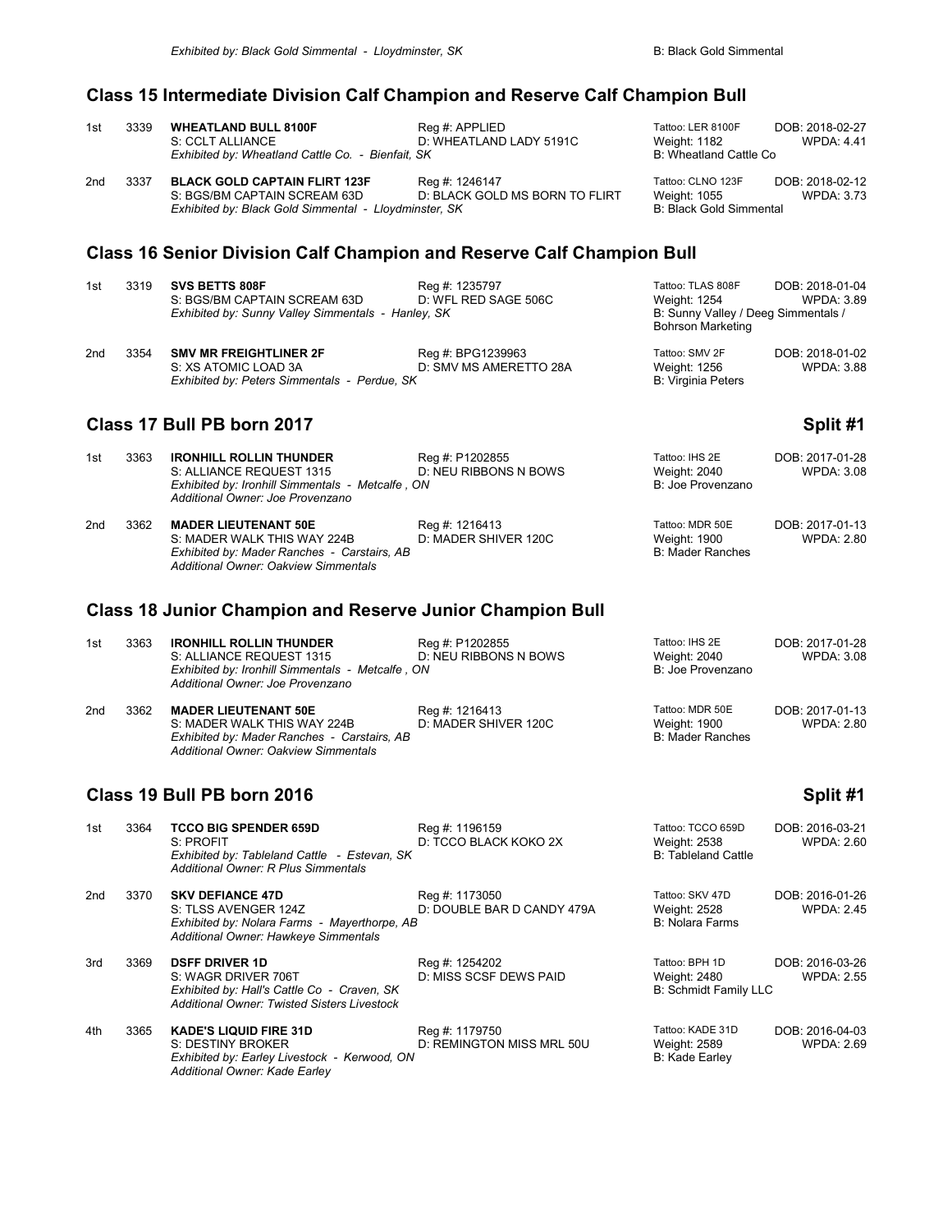## **Class 15 Intermediate Division Calf Champion and Reserve Calf Champion Bull**

| 1st             | 3339 | <b>WHEATLAND BULL 8100F</b><br>S: CCLT ALLIANCE<br>Exhibited by: Wheatland Cattle Co. - Bienfait, SK                                                     | Reg #: APPLIED<br>D: WHEATLAND LADY 5191C        | Tattoo: LER 8100F<br><b>Weight: 1182</b><br>B: Wheatland Cattle Co.                                  | DOB: 2018-02-27<br><b>WPDA: 4.41</b> |
|-----------------|------|----------------------------------------------------------------------------------------------------------------------------------------------------------|--------------------------------------------------|------------------------------------------------------------------------------------------------------|--------------------------------------|
| 2 <sub>nd</sub> | 3337 | <b>BLACK GOLD CAPTAIN FLIRT 123F</b><br>S: BGS/BM CAPTAIN SCREAM 63D<br>Exhibited by: Black Gold Simmental - Lloydminster, SK                            | Reg #: 1246147<br>D: BLACK GOLD MS BORN TO FLIRT | Tattoo: CLNO 123F<br>Weight: 1055<br><b>B: Black Gold Simmental</b>                                  | DOB: 2018-02-12<br><b>WPDA: 3.73</b> |
|                 |      | <b>Class 16 Senior Division Calf Champion and Reserve Calf Champion Bull</b>                                                                             |                                                  |                                                                                                      |                                      |
| 1st             | 3319 | SVS BETTS 808F<br>S: BGS/BM CAPTAIN SCREAM 63D<br>Exhibited by: Sunny Valley Simmentals - Hanley, SK                                                     | Reg #: 1235797<br>D: WFL RED SAGE 506C           | Tattoo: TLAS 808F<br>Weight: 1254<br>B: Sunny Valley / Deeg Simmentals /<br><b>Bohrson Marketing</b> | DOB: 2018-01-04<br>WPDA: 3.89        |
| 2 <sub>nd</sub> | 3354 | <b>SMV MR FREIGHTLINER 2F</b><br>S: XS ATOMIC LOAD 3A<br>Exhibited by: Peters Simmentals - Perdue, SK                                                    | Reg #: BPG1239963<br>D: SMV MS AMERETTO 28A      | Tattoo: SMV 2F<br>Weight: 1256<br><b>B: Virginia Peters</b>                                          | DOB: 2018-01-02<br><b>WPDA: 3.88</b> |
|                 |      | Class 17 Bull PB born 2017                                                                                                                               |                                                  |                                                                                                      | Split #1                             |
| 1st             | 3363 | <b>IRONHILL ROLLIN THUNDER</b><br>S: ALLIANCE REQUEST 1315<br>Exhibited by: Ironhill Simmentals - Metcalfe, ON<br>Additional Owner: Joe Provenzano       | Reg #: P1202855<br><b>D: NEU RIBBONS N BOWS</b>  | Tattoo: IHS 2E<br>Weight: 2040<br>B: Joe Provenzano                                                  | DOB: 2017-01-28<br><b>WPDA: 3.08</b> |
| 2 <sub>nd</sub> | 3362 | <b>MADER LIEUTENANT 50E</b><br>S: MADER WALK THIS WAY 224B<br>Exhibited by: Mader Ranches - Carstairs, AB<br><b>Additional Owner: Oakview Simmentals</b> | Reg #: 1216413<br>D: MADER SHIVER 120C           | Tattoo: MDR 50E<br><b>Weight: 1900</b><br><b>B: Mader Ranches</b>                                    | DOB: 2017-01-13<br><b>WPDA: 2.80</b> |
|                 |      |                                                                                                                                                          |                                                  |                                                                                                      |                                      |

## **Class 18 Junior Champion and Reserve Junior Champion Bull**

| 1st | 3363 | <b>IRONHILL ROLLIN THUNDER</b>                   | Reg #: P1202855       | Tattoo: IHS 2E    | DOB: 2017-01-28 |
|-----|------|--------------------------------------------------|-----------------------|-------------------|-----------------|
|     |      | S: ALLIANCE REQUEST 1315                         | D: NEU RIBBONS N BOWS | Weight: 2040      | WPDA: 3.08      |
|     |      | Exhibited by: Ironhill Simmentals - Metcalfe, ON |                       | B: Joe Provenzano |                 |
|     |      | Additional Owner: Joe Provenzano                 |                       |                   |                 |
| 2nd | 3362 | <b>MADER LIEUTENANT 50E</b>                      | Reg #: 1216413        | Tattoo: MDR 50E   | DOB: 2017-01-13 |
|     |      | S: MADER WALK THIS WAY 224B                      | D: MADER SHIVER 120C  | Weight: 1900      | WPDA: 2.80      |
|     |      | Exhibited by: Mader Ranches - Carstairs, AB      |                       | B: Mader Ranches  |                 |
|     |      | <b>Additional Owner: Oakview Simmentals</b>      |                       |                   |                 |

### **Class 19 Bull PB born 2016 Split #1 Split #1 Split #1**

| 1st | 3364 | <b>TCCO BIG SPENDER 659D</b><br>S: PROFIT<br>Exhibited by: Tableland Cattle - Estevan, SK<br>Additional Owner: R Plus Simmentals                  | Reg #: 1196159<br>D: TCCO BLACK KOKO 2X      | Tattoo: TCCO 659D<br><b>Weight: 2538</b><br><b>B: Tableland Cattle</b> | DOB: 2016-03-21<br><b>WPDA: 2.60</b> |
|-----|------|---------------------------------------------------------------------------------------------------------------------------------------------------|----------------------------------------------|------------------------------------------------------------------------|--------------------------------------|
| 2nd | 3370 | <b>SKV DEFIANCE 47D</b><br>S: TLSS AVENGER 124Z<br>Exhibited by: Nolara Farms - Mayerthorpe, AB<br>Additional Owner: Hawkeye Simmentals           | Reg #: 1173050<br>D: DOUBLE BAR D CANDY 479A | Tattoo: SKV 47D<br>Weight: 2528<br><b>B: Nolara Farms</b>              | DOB: 2016-01-26<br><b>WPDA: 2.45</b> |
| 3rd | 3369 | <b>DSFF DRIVER 1D</b><br>S: WAGR DRIVER 706T<br>Exhibited by: Hall's Cattle Co - Craven, SK<br><b>Additional Owner: Twisted Sisters Livestock</b> | Reg #: 1254202<br>D: MISS SCSF DEWS PAID     | Tattoo: BPH 1D<br>Weight: 2480<br><b>B: Schmidt Family LLC</b>         | DOB: 2016-03-26<br><b>WPDA: 2.55</b> |
| 4th | 3365 | <b>KADE'S LIQUID FIRE 31D</b><br>S: DESTINY BROKER<br>Exhibited by: Earley Livestock - Kerwood, ON<br>Additional Owner: Kade Earley               | Reg #: 1179750<br>D: REMINGTON MISS MRL 50U  | Tattoo: KADE 31D<br>Weight: 2589<br>B: Kade Earley                     | DOB: 2016-04-03<br><b>WPDA: 2.69</b> |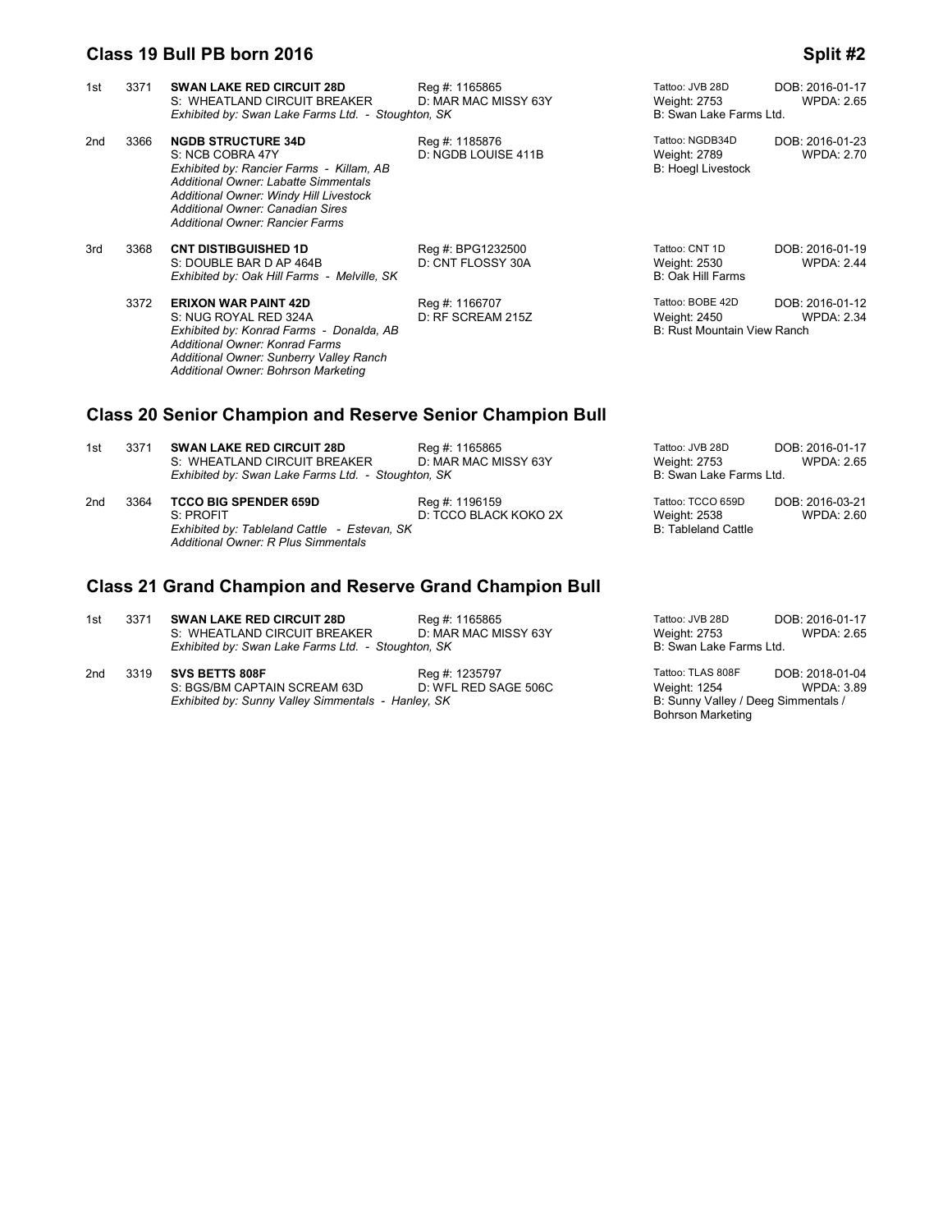## **Class 19 Bull PB born 2016 Split #2 Split #2**

| 1st                                                              | 3371 | <b>SWAN LAKE RED CIRCUIT 28D</b><br>S: WHEATLAND CIRCUIT BREAKER<br>Exhibited by: Swan Lake Farms Ltd. - Stoughton, SK                                                                                                                                    | Reg #: 1165865<br>D: MAR MAC MISSY 63Y  | Tattoo: JVB 28D<br>Weight: 2753<br>B: Swan Lake Farms Ltd.      | DOB: 2016-01-17<br><b>WPDA: 2.65</b> |  |  |
|------------------------------------------------------------------|------|-----------------------------------------------------------------------------------------------------------------------------------------------------------------------------------------------------------------------------------------------------------|-----------------------------------------|-----------------------------------------------------------------|--------------------------------------|--|--|
| 2nd                                                              | 3366 | <b>NGDB STRUCTURE 34D</b><br>S: NCB COBRA 47Y<br>Exhibited by: Rancier Farms - Killam, AB<br>Additional Owner: Labatte Simmentals<br>Additional Owner: Windy Hill Livestock<br>Additional Owner: Canadian Sires<br><b>Additional Owner: Rancier Farms</b> | Reg #: 1185876<br>D: NGDB LOUISE 411B   | Tattoo: NGDB34D<br>Weight: 2789<br><b>B: Hoegl Livestock</b>    | DOB: 2016-01-23<br><b>WPDA: 2.70</b> |  |  |
| 3rd                                                              | 3368 | <b>CNT DISTIBGUISHED 1D</b><br>S: DOUBLE BAR D AP 464B<br>Exhibited by: Oak Hill Farms - Melville, SK                                                                                                                                                     | Reg #: BPG1232500<br>D: CNT FLOSSY 30A  | Tattoo: CNT 1D<br>Weight: 2530<br><b>B: Oak Hill Farms</b>      | DOB: 2016-01-19<br><b>WPDA: 2.44</b> |  |  |
|                                                                  | 3372 | <b>ERIXON WAR PAINT 42D</b><br>S: NUG ROYAL RED 324A<br>Exhibited by: Konrad Farms - Donalda, AB<br>Additional Owner: Konrad Farms<br>Additional Owner: Sunberry Valley Ranch<br>Additional Owner: Bohrson Marketing                                      | Reg #: 1166707<br>D: RF SCREAM 215Z     | Tattoo: BOBE 42D<br>Weight: 2450<br>B: Rust Mountain View Ranch | DOB: 2016-01-12<br><b>WPDA: 2.34</b> |  |  |
| <b>Class 20 Senior Champion and Reserve Senior Champion Bull</b> |      |                                                                                                                                                                                                                                                           |                                         |                                                                 |                                      |  |  |
| 1st                                                              | 3371 | <b>SWAN LAKE RED CIRCUIT 28D</b><br>S: WHEATLAND CIRCUIT BREAKER<br>Exhibited by: Swan Lake Farms Ltd. - Stoughton, SK                                                                                                                                    | Reg #: 1165865<br>D: MAR MAC MISSY 63Y  | Tattoo: JVB 28D<br>Weight: 2753<br>B: Swan Lake Farms Ltd.      | DOB: 2016-01-17<br><b>WPDA: 2.65</b> |  |  |
| 2 <sub>nd</sub>                                                  | 3364 | <b>TCCO BIG SPENDER 659D</b><br>S: PROFIT<br>Exhibited by: Tableland Cattle - Estevan, SK<br><b>Additional Owner: R Plus Simmentals</b>                                                                                                                   | Reg #: 1196159<br>D: TCCO BLACK KOKO 2X | Tattoo: TCCO 659D<br>Weight: 2538<br><b>B: Tableland Cattle</b> | DOB: 2016-03-21<br><b>WPDA: 2.60</b> |  |  |
| <b>Class 21 Grand Champion and Reserve Grand Champion Bull</b>   |      |                                                                                                                                                                                                                                                           |                                         |                                                                 |                                      |  |  |

| 1st | 3371 | <b>SWAN LAKE RED CIRCUIT 28D</b><br>S: WHEATLAND CIRCUIT BREAKER | Reg #: 1165865<br>D: MAR MAC MISSY 63Y | Tattoo: JVB 28D<br>Weight: 2753 | DOB: 2016-01-17<br><b>WPDA: 2.65</b> |
|-----|------|------------------------------------------------------------------|----------------------------------------|---------------------------------|--------------------------------------|
|     |      | Exhibited by: Swan Lake Farms Ltd. - Stoughton, SK               |                                        | B: Swan Lake Farms Ltd.         |                                      |

| 2nd | 3319 <b>SVS BETTS 808F</b>                         | Reg #: 1235797       | Tattoo: TLAS 808F                   | DOB: 2018-01-04   |
|-----|----------------------------------------------------|----------------------|-------------------------------------|-------------------|
|     | S: BGS/BM CAPTAIN SCREAM 63D                       | D: WFL RED SAGE 506C | Weight: 1254                        | <b>WPDA: 3.89</b> |
|     | Exhibited by: Sunny Valley Simmentals - Hanley, SK |                      | B: Sunny Valley / Deeg Simmentals / |                   |

Bohrson Marketing